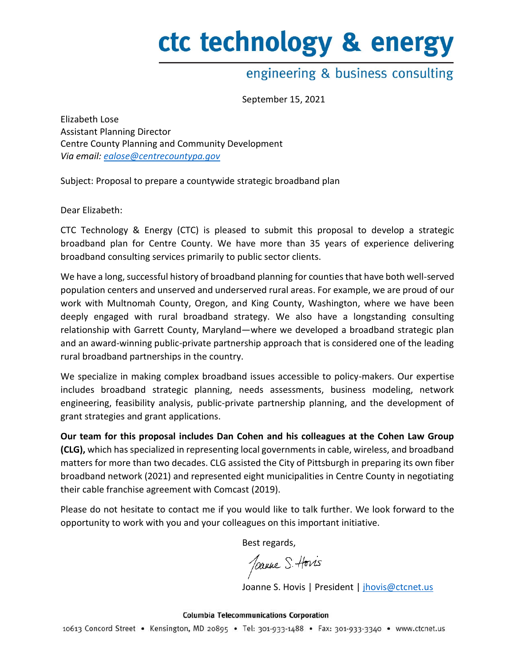# ctc technology & energy

# engineering & business consulting

September 15, 2021

Elizabeth Lose Assistant Planning Director Centre County Planning and Community Development *Via email: [ealose@centrecountypa.gov](mailto:ealose@centrecountypa.gov)*

Subject: Proposal to prepare a countywide strategic broadband plan

Dear Elizabeth:

CTC Technology & Energy (CTC) is pleased to submit this proposal to develop a strategic broadband plan for Centre County. We have more than 35 years of experience delivering broadband consulting services primarily to public sector clients.

We have a long, successful history of broadband planning for counties that have both well-served population centers and unserved and underserved rural areas. For example, we are proud of our work with Multnomah County, Oregon, and King County, Washington, where we have been deeply engaged with rural broadband strategy. We also have a longstanding consulting relationship with Garrett County, Maryland—where we developed a broadband strategic plan and an award-winning public-private partnership approach that is considered one of the leading rural broadband partnerships in the country.

We specialize in making complex broadband issues accessible to policy-makers. Our expertise includes broadband strategic planning, needs assessments, business modeling, network engineering, feasibility analysis, public-private partnership planning, and the development of grant strategies and grant applications.

**Our team for this proposal includes Dan Cohen and his colleagues at the Cohen Law Group (CLG),** which has specialized in representing local governments in cable, wireless, and broadband matters for more than two decades. CLG assisted the City of Pittsburgh in preparing its own fiber broadband network (2021) and represented eight municipalities in Centre County in negotiating their cable franchise agreement with Comcast (2019).

Please do not hesitate to contact me if you would like to talk further. We look forward to the opportunity to work with you and your colleagues on this important initiative.

Best regards,

Joanne S. Horis

Joanne S. Hovis | President | [jhovis@ctcnet.us](mailto:jhovis@ctcnet.us)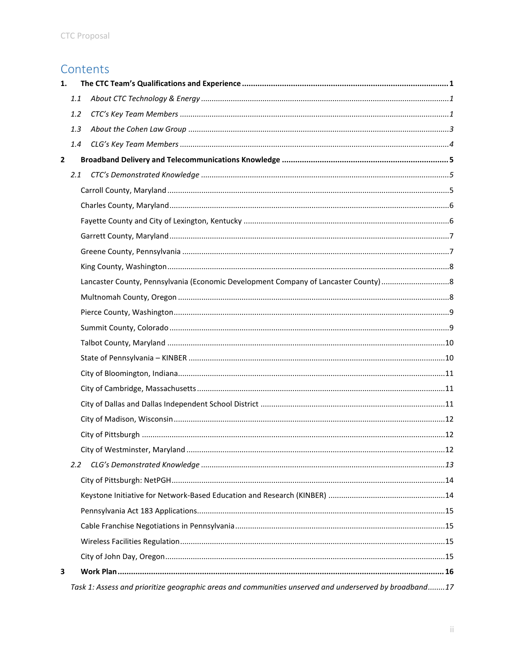# Contents

| 1.             |               |                                                                                                        |  |
|----------------|---------------|--------------------------------------------------------------------------------------------------------|--|
|                | 1.1           |                                                                                                        |  |
|                | 1.2           |                                                                                                        |  |
|                | 1.3           |                                                                                                        |  |
|                | 1.4           |                                                                                                        |  |
| $\overline{2}$ |               |                                                                                                        |  |
|                | 2.1           |                                                                                                        |  |
|                |               |                                                                                                        |  |
|                |               |                                                                                                        |  |
|                |               |                                                                                                        |  |
|                |               |                                                                                                        |  |
|                |               |                                                                                                        |  |
|                |               |                                                                                                        |  |
|                |               |                                                                                                        |  |
|                |               |                                                                                                        |  |
|                |               |                                                                                                        |  |
|                |               |                                                                                                        |  |
|                |               |                                                                                                        |  |
|                |               |                                                                                                        |  |
|                |               |                                                                                                        |  |
|                |               |                                                                                                        |  |
|                |               |                                                                                                        |  |
|                |               |                                                                                                        |  |
|                |               |                                                                                                        |  |
|                |               |                                                                                                        |  |
|                | $2.2^{\circ}$ |                                                                                                        |  |
|                |               |                                                                                                        |  |
|                |               |                                                                                                        |  |
|                |               |                                                                                                        |  |
|                |               |                                                                                                        |  |
|                |               |                                                                                                        |  |
|                |               |                                                                                                        |  |
| 3              |               |                                                                                                        |  |
|                |               | Task 1: Assess and prioritize geographic areas and communities unserved and underserved by broadband17 |  |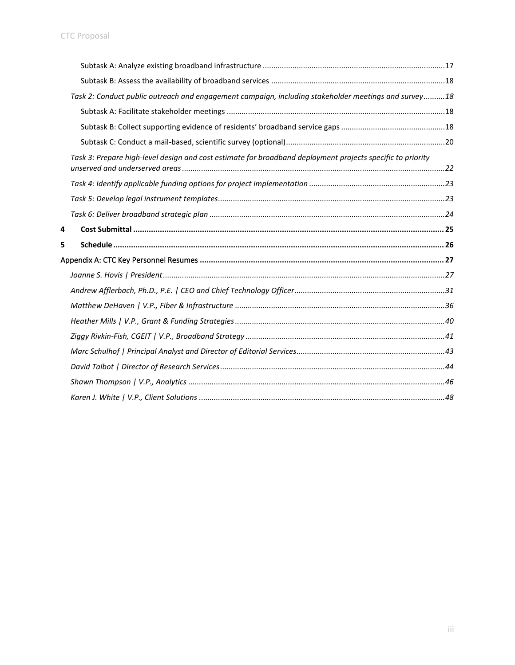|        | Task 2: Conduct public outreach and engagement campaign, including stakeholder meetings and survey18       |  |
|--------|------------------------------------------------------------------------------------------------------------|--|
|        |                                                                                                            |  |
|        |                                                                                                            |  |
|        |                                                                                                            |  |
|        | Task 3: Prepare high-level design and cost estimate for broadband deployment projects specific to priority |  |
|        |                                                                                                            |  |
|        |                                                                                                            |  |
|        |                                                                                                            |  |
|        |                                                                                                            |  |
|        |                                                                                                            |  |
|        |                                                                                                            |  |
|        |                                                                                                            |  |
|        |                                                                                                            |  |
|        |                                                                                                            |  |
|        |                                                                                                            |  |
|        |                                                                                                            |  |
|        |                                                                                                            |  |
|        |                                                                                                            |  |
|        |                                                                                                            |  |
| 4<br>5 |                                                                                                            |  |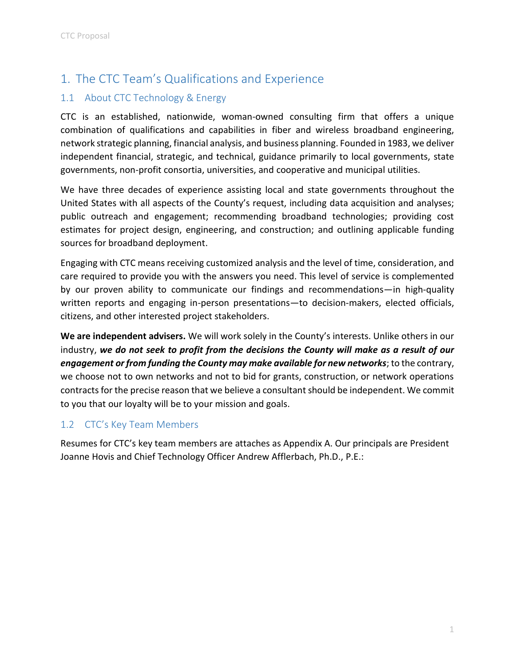# <span id="page-3-0"></span>1. The CTC Team's Qualifications and Experience

## <span id="page-3-1"></span>1.1 About CTC Technology & Energy

CTC is an established, nationwide, woman-owned consulting firm that offers a unique combination of qualifications and capabilities in fiber and wireless broadband engineering, network strategic planning, financial analysis, and business planning. Founded in 1983, we deliver independent financial, strategic, and technical, guidance primarily to local governments, state governments, non-profit consortia, universities, and cooperative and municipal utilities.

We have three decades of experience assisting local and state governments throughout the United States with all aspects of the County's request, including data acquisition and analyses; public outreach and engagement; recommending broadband technologies; providing cost estimates for project design, engineering, and construction; and outlining applicable funding sources for broadband deployment.

Engaging with CTC means receiving customized analysis and the level of time, consideration, and care required to provide you with the answers you need. This level of service is complemented by our proven ability to communicate our findings and recommendations—in high-quality written reports and engaging in-person presentations—to decision-makers, elected officials, citizens, and other interested project stakeholders.

**We are independent advisers.** We will work solely in the County's interests. Unlike others in our industry, *we do not seek to profit from the decisions the County will make as a result of our engagement or from funding the County may make available for new networks*; to the contrary, we choose not to own networks and not to bid for grants, construction, or network operations contracts for the precise reason that we believe a consultant should be independent. We commit to you that our loyalty will be to your mission and goals.

## <span id="page-3-2"></span>1.2 CTC's Key Team Members

Resumes for CTC's key team members are attaches as Appendix A. Our principals are President Joanne Hovis and Chief Technology Officer Andrew Afflerbach, Ph.D., P.E.: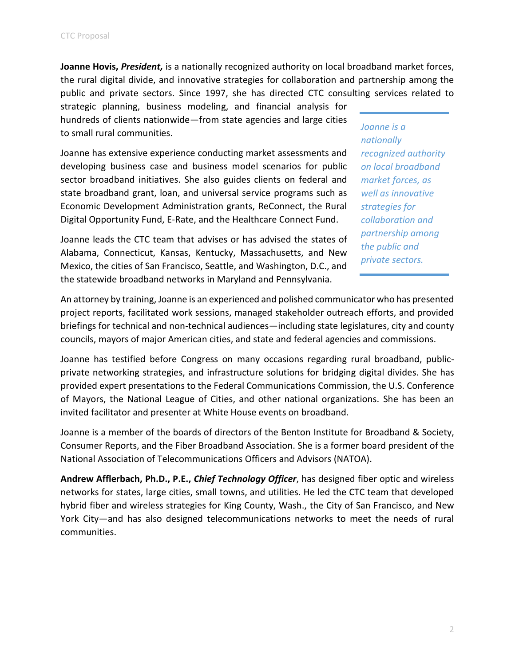**Joanne Hovis,** *President,* is a nationally recognized authority on local broadband market forces, the rural digital divide, and innovative strategies for collaboration and partnership among the public and private sectors. Since 1997, she has directed CTC consulting services related to strategic planning, business modeling, and financial analysis for

hundreds of clients nationwide—from state agencies and large cities to small rural communities.

Joanne has extensive experience conducting market assessments and developing business case and business model scenarios for public sector broadband initiatives. She also guides clients on federal and state broadband grant, loan, and universal service programs such as Economic Development Administration grants, ReConnect, the Rural Digital Opportunity Fund, E-Rate, and the Healthcare Connect Fund.

Joanne leads the CTC team that advises or has advised the states of Alabama, Connecticut, Kansas, Kentucky, Massachusetts, and New Mexico, the cities of San Francisco, Seattle, and Washington, D.C., and the statewide broadband networks in Maryland and Pennsylvania.

*Joanne is a nationally recognized authority on local broadband market forces, as well as innovative strategies for collaboration and partnership among the public and private sectors.*

An attorney by training, Joanne is an experienced and polished communicator who has presented project reports, facilitated work sessions, managed stakeholder outreach efforts, and provided briefings for technical and non-technical audiences—including state legislatures, city and county councils, mayors of major American cities, and state and federal agencies and commissions.

Joanne has testified before Congress on many occasions regarding rural broadband, publicprivate networking strategies, and infrastructure solutions for bridging digital divides. She has provided expert presentations to the Federal Communications Commission, the U.S. Conference of Mayors, the National League of Cities, and other national organizations. She has been an invited facilitator and presenter at White House events on broadband.

Joanne is a member of the boards of directors of the Benton Institute for Broadband & Society, Consumer Reports, and the Fiber Broadband Association. She is a former board president of the National Association of Telecommunications Officers and Advisors (NATOA).

**Andrew Afflerbach, Ph.D., P.E.,** *Chief Technology Officer*, has designed fiber optic and wireless networks for states, large cities, small towns, and utilities. He led the CTC team that developed hybrid fiber and wireless strategies for King County, Wash., the City of San Francisco, and New York City—and has also designed telecommunications networks to meet the needs of rural communities.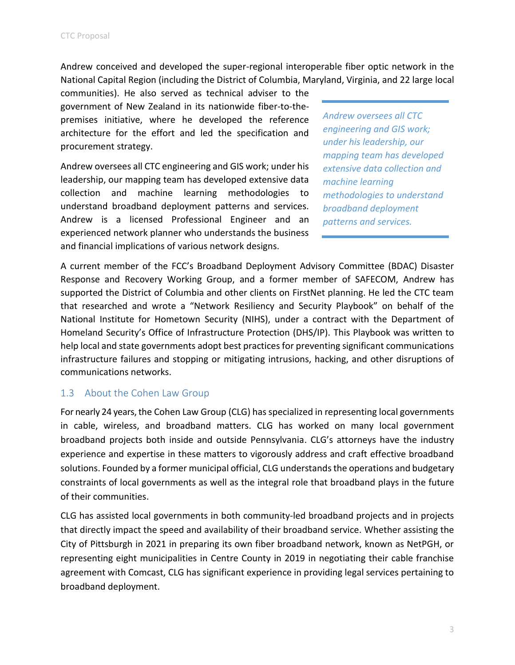Andrew conceived and developed the super-regional interoperable fiber optic network in the National Capital Region (including the District of Columbia, Maryland, Virginia, and 22 large local

communities). He also served as technical adviser to the government of New Zealand in its nationwide fiber-to-thepremises initiative, where he developed the reference architecture for the effort and led the specification and procurement strategy.

Andrew oversees all CTC engineering and GIS work; under his leadership, our mapping team has developed extensive data collection and machine learning methodologies to understand broadband deployment patterns and services. Andrew is a licensed Professional Engineer and an experienced network planner who understands the business and financial implications of various network designs.

*Andrew oversees all CTC engineering and GIS work; under his leadership, our mapping team has developed extensive data collection and machine learning methodologies to understand broadband deployment patterns and services.*

A current member of the FCC's Broadband Deployment Advisory Committee (BDAC) Disaster Response and Recovery Working Group, and a former member of SAFECOM, Andrew has supported the District of Columbia and other clients on FirstNet planning. He led the CTC team that researched and wrote a "Network Resiliency and Security Playbook" on behalf of the National Institute for Hometown Security (NIHS), under a contract with the Department of Homeland Security's Office of Infrastructure Protection (DHS/IP). This Playbook was written to help local and state governments adopt best practices for preventing significant communications infrastructure failures and stopping or mitigating intrusions, hacking, and other disruptions of communications networks.

## <span id="page-5-0"></span>1.3 About the Cohen Law Group

For nearly 24 years, the Cohen Law Group (CLG) has specialized in representing local governments in cable, wireless, and broadband matters. CLG has worked on many local government broadband projects both inside and outside Pennsylvania. CLG's attorneys have the industry experience and expertise in these matters to vigorously address and craft effective broadband solutions. Founded by a former municipal official, CLG understands the operations and budgetary constraints of local governments as well as the integral role that broadband plays in the future of their communities.

CLG has assisted local governments in both community-led broadband projects and in projects that directly impact the speed and availability of their broadband service. Whether assisting the City of Pittsburgh in 2021 in preparing its own fiber broadband network, known as NetPGH, or representing eight municipalities in Centre County in 2019 in negotiating their cable franchise agreement with Comcast, CLG has significant experience in providing legal services pertaining to broadband deployment.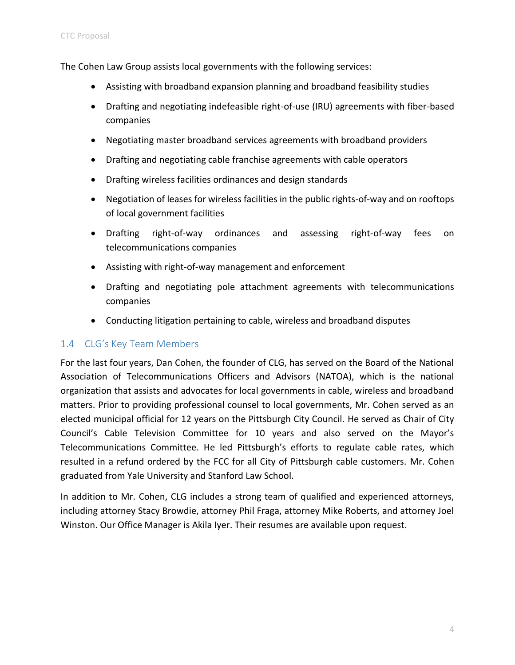The Cohen Law Group assists local governments with the following services:

- Assisting with broadband expansion planning and broadband feasibility studies
- Drafting and negotiating indefeasible right-of-use (IRU) agreements with fiber-based companies
- Negotiating master broadband services agreements with broadband providers
- Drafting and negotiating cable franchise agreements with cable operators
- Drafting wireless facilities ordinances and design standards
- Negotiation of leases for wireless facilities in the public rights-of-way and on rooftops of local government facilities
- Drafting right-of-way ordinances and assessing right-of-way fees on telecommunications companies
- Assisting with right-of-way management and enforcement
- Drafting and negotiating pole attachment agreements with telecommunications companies
- Conducting litigation pertaining to cable, wireless and broadband disputes

## <span id="page-6-0"></span>1.4 CLG's Key Team Members

For the last four years, Dan Cohen, the founder of CLG, has served on the Board of the National Association of Telecommunications Officers and Advisors (NATOA), which is the national organization that assists and advocates for local governments in cable, wireless and broadband matters. Prior to providing professional counsel to local governments, Mr. Cohen served as an elected municipal official for 12 years on the Pittsburgh City Council. He served as Chair of City Council's Cable Television Committee for 10 years and also served on the Mayor's Telecommunications Committee. He led Pittsburgh's efforts to regulate cable rates, which resulted in a refund ordered by the FCC for all City of Pittsburgh cable customers. Mr. Cohen graduated from Yale University and Stanford Law School.

In addition to Mr. Cohen, CLG includes a strong team of qualified and experienced attorneys, including attorney Stacy Browdie, attorney Phil Fraga, attorney Mike Roberts, and attorney Joel Winston. Our Office Manager is Akila Iyer. Their resumes are available upon request.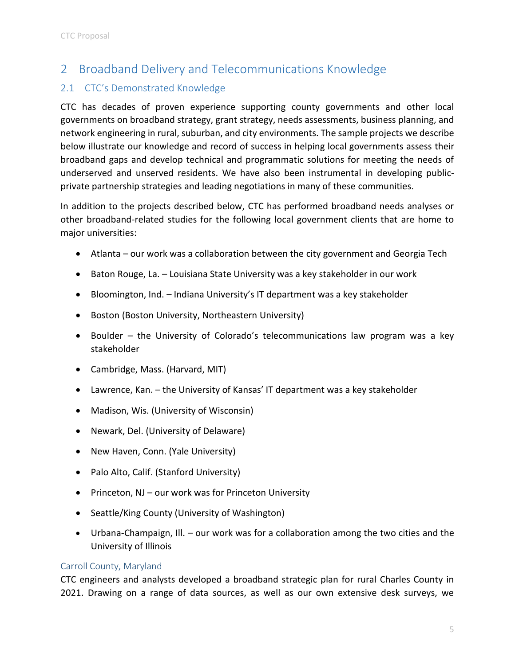# <span id="page-7-0"></span>2 Broadband Delivery and Telecommunications Knowledge

## <span id="page-7-1"></span>2.1 CTC's Demonstrated Knowledge

CTC has decades of proven experience supporting county governments and other local governments on broadband strategy, grant strategy, needs assessments, business planning, and network engineering in rural, suburban, and city environments. The sample projects we describe below illustrate our knowledge and record of success in helping local governments assess their broadband gaps and develop technical and programmatic solutions for meeting the needs of underserved and unserved residents. We have also been instrumental in developing publicprivate partnership strategies and leading negotiations in many of these communities.

In addition to the projects described below, CTC has performed broadband needs analyses or other broadband-related studies for the following local government clients that are home to major universities:

- Atlanta our work was a collaboration between the city government and Georgia Tech
- Baton Rouge, La. Louisiana State University was a key stakeholder in our work
- Bloomington, Ind. Indiana University's IT department was a key stakeholder
- Boston (Boston University, Northeastern University)
- Boulder the University of Colorado's telecommunications law program was a key stakeholder
- Cambridge, Mass. (Harvard, MIT)
- Lawrence, Kan. the University of Kansas' IT department was a key stakeholder
- Madison, Wis. (University of Wisconsin)
- Newark, Del. (University of Delaware)
- New Haven, Conn. (Yale University)
- Palo Alto, Calif. (Stanford University)
- Princeton, NJ our work was for Princeton University
- Seattle/King County (University of Washington)
- Urbana-Champaign, Ill. our work was for a collaboration among the two cities and the University of Illinois

#### <span id="page-7-2"></span>Carroll County, Maryland

CTC engineers and analysts developed a broadband strategic plan for rural Charles County in 2021. Drawing on a range of data sources, as well as our own extensive desk surveys, we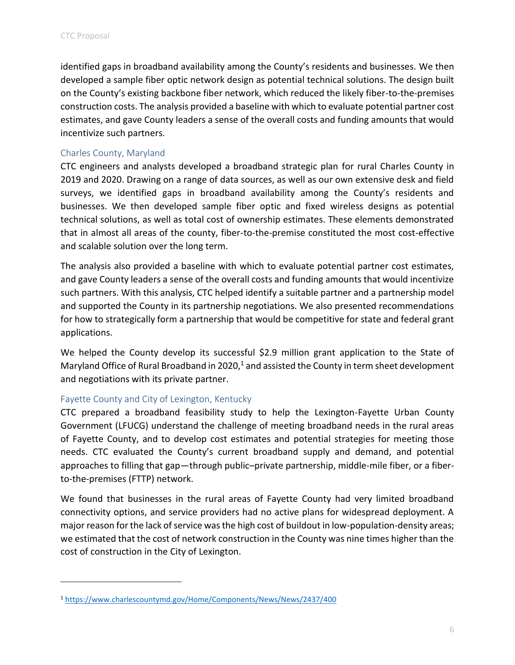identified gaps in broadband availability among the County's residents and businesses. We then developed a sample fiber optic network design as potential technical solutions. The design built on the County's existing backbone fiber network, which reduced the likely fiber-to-the-premises construction costs. The analysis provided a baseline with which to evaluate potential partner cost estimates, and gave County leaders a sense of the overall costs and funding amounts that would incentivize such partners.

## <span id="page-8-0"></span>Charles County, Maryland

CTC engineers and analysts developed a broadband strategic plan for rural Charles County in 2019 and 2020. Drawing on a range of data sources, as well as our own extensive desk and field surveys, we identified gaps in broadband availability among the County's residents and businesses. We then developed sample fiber optic and fixed wireless designs as potential technical solutions, as well as total cost of ownership estimates. These elements demonstrated that in almost all areas of the county, fiber-to-the-premise constituted the most cost-effective and scalable solution over the long term.

The analysis also provided a baseline with which to evaluate potential partner cost estimates, and gave County leaders a sense of the overall costs and funding amounts that would incentivize such partners. With this analysis, CTC helped identify a suitable partner and a partnership model and supported the County in its partnership negotiations. We also presented recommendations for how to strategically form a partnership that would be competitive for state and federal grant applications.

We helped the County develop its successful \$2.9 million grant application to the State of Maryland Office of Rural Broadband in 2020, $1$  and assisted the County in term sheet development and negotiations with its private partner.

#### <span id="page-8-1"></span>Fayette County and City of Lexington, Kentucky

CTC prepared a broadband feasibility study to help the Lexington-Fayette Urban County Government (LFUCG) understand the challenge of meeting broadband needs in the rural areas of Fayette County, and to develop cost estimates and potential strategies for meeting those needs. CTC evaluated the County's current broadband supply and demand, and potential approaches to filling that gap—through public–private partnership, middle-mile fiber, or a fiberto-the-premises (FTTP) network.

We found that businesses in the rural areas of Fayette County had very limited broadband connectivity options, and service providers had no active plans for widespread deployment. A major reason for the lack of service was the high cost of buildout in low-population-density areas; we estimated that the cost of network construction in the County was nine times higher than the cost of construction in the City of Lexington.

<sup>1</sup> <https://www.charlescountymd.gov/Home/Components/News/News/2437/400>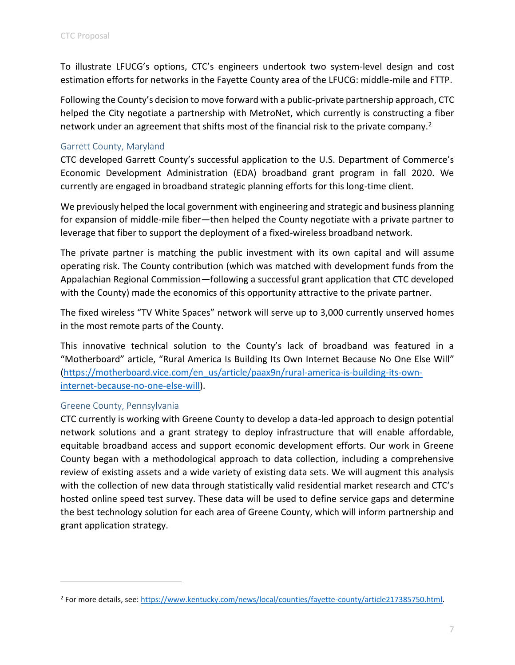To illustrate LFUCG's options, CTC's engineers undertook two system-level design and cost estimation efforts for networks in the Fayette County area of the LFUCG: middle-mile and FTTP.

Following the County's decision to move forward with a public-private partnership approach, CTC helped the City negotiate a partnership with MetroNet, which currently is constructing a fiber network under an agreement that shifts most of the financial risk to the private company.<sup>2</sup>

## <span id="page-9-0"></span>Garrett County, Maryland

CTC developed Garrett County's successful application to the U.S. Department of Commerce's Economic Development Administration (EDA) broadband grant program in fall 2020. We currently are engaged in broadband strategic planning efforts for this long-time client.

We previously helped the local government with engineering and strategic and business planning for expansion of middle-mile fiber—then helped the County negotiate with a private partner to leverage that fiber to support the deployment of a fixed-wireless broadband network.

The private partner is matching the public investment with its own capital and will assume operating risk. The County contribution (which was matched with development funds from the Appalachian Regional Commission—following a successful grant application that CTC developed with the County) made the economics of this opportunity attractive to the private partner.

The fixed wireless "TV White Spaces" network will serve up to 3,000 currently unserved homes in the most remote parts of the County.

This innovative technical solution to the County's lack of broadband was featured in a "Motherboard" article, "Rural America Is Building Its Own Internet Because No One Else Will" [\(https://motherboard.vice.com/en\\_us/article/paax9n/rural-america-is-building-its-own](https://motherboard.vice.com/en_us/article/paax9n/rural-america-is-building-its-own-internet-because-no-one-else-will)[internet-because-no-one-else-will\)](https://motherboard.vice.com/en_us/article/paax9n/rural-america-is-building-its-own-internet-because-no-one-else-will).

#### <span id="page-9-1"></span>Greene County, Pennsylvania

CTC currently is working with Greene County to develop a data-led approach to design potential network solutions and a grant strategy to deploy infrastructure that will enable affordable, equitable broadband access and support economic development efforts. Our work in Greene County began with a methodological approach to data collection, including a comprehensive review of existing assets and a wide variety of existing data sets. We will augment this analysis with the collection of new data through statistically valid residential market research and CTC's hosted online speed test survey. These data will be used to define service gaps and determine the best technology solution for each area of Greene County, which will inform partnership and grant application strategy.

<sup>&</sup>lt;sup>2</sup> For more details, see[: https://www.kentucky.com/news/local/counties/fayette-county/article217385750.html.](https://www.kentucky.com/news/local/counties/fayette-county/article217385750.html)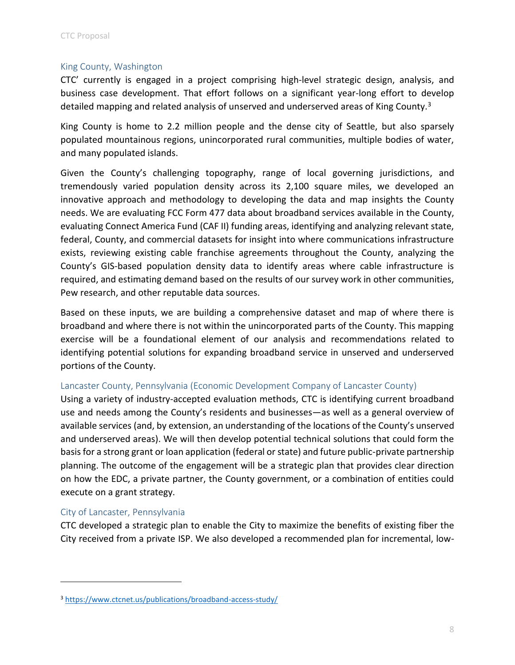## <span id="page-10-0"></span>King County, Washington

CTC' currently is engaged in a project comprising high-level strategic design, analysis, and business case development. That effort follows on a significant year-long effort to develop detailed mapping and related analysis of unserved and underserved areas of King County.<sup>3</sup>

King County is home to 2.2 million people and the dense city of Seattle, but also sparsely populated mountainous regions, unincorporated rural communities, multiple bodies of water, and many populated islands.

Given the County's challenging topography, range of local governing jurisdictions, and tremendously varied population density across its 2,100 square miles, we developed an innovative approach and methodology to developing the data and map insights the County needs. We are evaluating FCC Form 477 data about broadband services available in the County, evaluating Connect America Fund (CAF II) funding areas, identifying and analyzing relevant state, federal, County, and commercial datasets for insight into where communications infrastructure exists, reviewing existing cable franchise agreements throughout the County, analyzing the County's GIS-based population density data to identify areas where cable infrastructure is required, and estimating demand based on the results of our survey work in other communities, Pew research, and other reputable data sources.

Based on these inputs, we are building a comprehensive dataset and map of where there is broadband and where there is not within the unincorporated parts of the County. This mapping exercise will be a foundational element of our analysis and recommendations related to identifying potential solutions for expanding broadband service in unserved and underserved portions of the County.

## <span id="page-10-1"></span>Lancaster County, Pennsylvania (Economic Development Company of Lancaster County)

Using a variety of industry-accepted evaluation methods, CTC is identifying current broadband use and needs among the County's residents and businesses—as well as a general overview of available services (and, by extension, an understanding of the locations of the County's unserved and underserved areas). We will then develop potential technical solutions that could form the basis for a strong grant or loan application (federal or state) and future public-private partnership planning. The outcome of the engagement will be a strategic plan that provides clear direction on how the EDC, a private partner, the County government, or a combination of entities could execute on a grant strategy.

#### <span id="page-10-2"></span>City of Lancaster, Pennsylvania

CTC developed a strategic plan to enable the City to maximize the benefits of existing fiber the City received from a private ISP. We also developed a recommended plan for incremental, low-

<sup>3</sup> <https://www.ctcnet.us/publications/broadband-access-study/>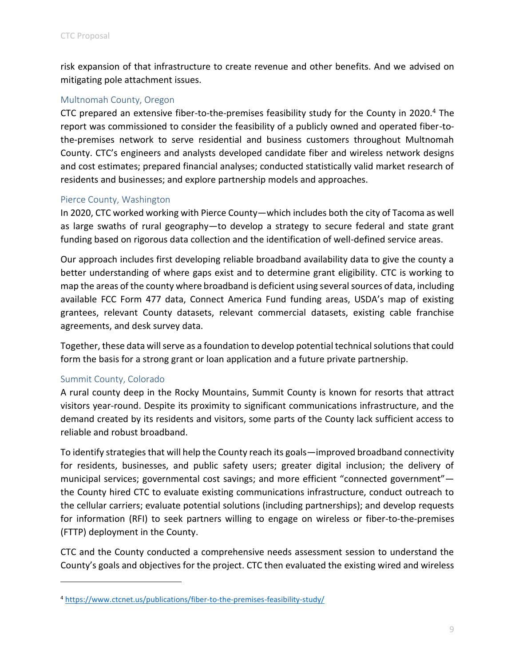risk expansion of that infrastructure to create revenue and other benefits. And we advised on mitigating pole attachment issues.

#### Multnomah County, Oregon

CTC prepared an extensive fiber-to-the-premises feasibility study for the County in 2020.<sup>4</sup> The report was commissioned to consider the feasibility of a publicly owned and operated fiber-tothe-premises network to serve residential and business customers throughout Multnomah County. CTC's engineers and analysts developed candidate fiber and wireless network designs and cost estimates; prepared financial analyses; conducted statistically valid market research of residents and businesses; and explore partnership models and approaches.

#### <span id="page-11-0"></span>Pierce County, Washington

In 2020, CTC worked working with Pierce County—which includes both the city of Tacoma as well as large swaths of rural geography—to develop a strategy to secure federal and state grant funding based on rigorous data collection and the identification of well-defined service areas.

Our approach includes first developing reliable broadband availability data to give the county a better understanding of where gaps exist and to determine grant eligibility. CTC is working to map the areas of the county where broadband is deficient using several sources of data, including available FCC Form 477 data, Connect America Fund funding areas, USDA's map of existing grantees, relevant County datasets, relevant commercial datasets, existing cable franchise agreements, and desk survey data.

Together, these data will serve as a foundation to develop potential technical solutions that could form the basis for a strong grant or loan application and a future private partnership.

#### <span id="page-11-1"></span>Summit County, Colorado

A rural county deep in the Rocky Mountains, Summit County is known for resorts that attract visitors year-round. Despite its proximity to significant communications infrastructure, and the demand created by its residents and visitors, some parts of the County lack sufficient access to reliable and robust broadband.

To identify strategies that will help the County reach its goals—improved broadband connectivity for residents, businesses, and public safety users; greater digital inclusion; the delivery of municipal services; governmental cost savings; and more efficient "connected government" the County hired CTC to evaluate existing communications infrastructure, conduct outreach to the cellular carriers; evaluate potential solutions (including partnerships); and develop requests for information (RFI) to seek partners willing to engage on wireless or fiber-to-the-premises (FTTP) deployment in the County.

CTC and the County conducted a comprehensive needs assessment session to understand the County's goals and objectives for the project. CTC then evaluated the existing wired and wireless

<sup>4</sup> <https://www.ctcnet.us/publications/fiber-to-the-premises-feasibility-study/>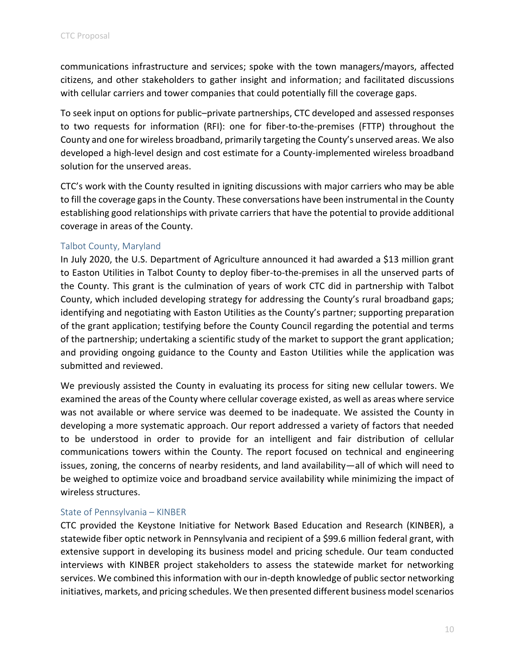communications infrastructure and services; spoke with the town managers/mayors, affected citizens, and other stakeholders to gather insight and information; and facilitated discussions with cellular carriers and tower companies that could potentially fill the coverage gaps.

To seek input on options for public–private partnerships, CTC developed and assessed responses to two requests for information (RFI): one for fiber-to-the-premises (FTTP) throughout the County and one for wireless broadband, primarily targeting the County's unserved areas. We also developed a high-level design and cost estimate for a County-implemented wireless broadband solution for the unserved areas.

CTC's work with the County resulted in igniting discussions with major carriers who may be able to fill the coverage gaps in the County. These conversations have been instrumental in the County establishing good relationships with private carriers that have the potential to provide additional coverage in areas of the County.

## <span id="page-12-0"></span>Talbot County, Maryland

In July 2020, the U.S. Department of Agriculture announced it had awarded a \$13 million grant to Easton Utilities in Talbot County to deploy fiber-to-the-premises in all the unserved parts of the County. This grant is the culmination of years of work CTC did in partnership with Talbot County, which included developing strategy for addressing the County's rural broadband gaps; identifying and negotiating with Easton Utilities as the County's partner; supporting preparation of the grant application; testifying before the County Council regarding the potential and terms of the partnership; undertaking a scientific study of the market to support the grant application; and providing ongoing guidance to the County and Easton Utilities while the application was submitted and reviewed.

We previously assisted the County in evaluating its process for siting new cellular towers. We examined the areas of the County where cellular coverage existed, as well as areas where service was not available or where service was deemed to be inadequate. We assisted the County in developing a more systematic approach. Our report addressed a variety of factors that needed to be understood in order to provide for an intelligent and fair distribution of cellular communications towers within the County. The report focused on technical and engineering issues, zoning, the concerns of nearby residents, and land availability—all of which will need to be weighed to optimize voice and broadband service availability while minimizing the impact of wireless structures.

#### <span id="page-12-1"></span>State of Pennsylvania – KINBER

CTC provided the Keystone Initiative for Network Based Education and Research (KINBER), a statewide fiber optic network in Pennsylvania and recipient of a \$99.6 million federal grant, with extensive support in developing its business model and pricing schedule. Our team conducted interviews with KINBER project stakeholders to assess the statewide market for networking services. We combined this information with our in-depth knowledge of public sector networking initiatives, markets, and pricing schedules. We then presented different business model scenarios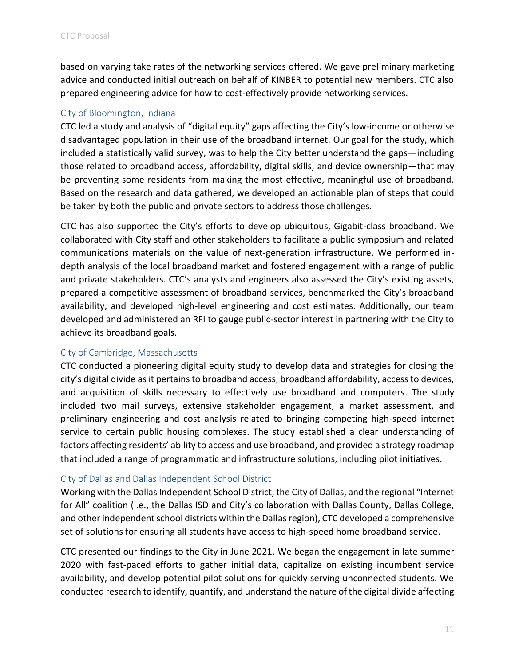based on varying take rates of the networking services offered. We gave preliminary marketing advice and conducted initial outreach on behalf of KINBER to potential new members. CTC also prepared engineering advice for how to cost-effectively provide networking services.

## <span id="page-13-0"></span>City of Bloomington, Indiana

CTC led a study and analysis of "digital equity" gaps affecting the City's low-income or otherwise disadvantaged population in their use of the broadband internet. Our goal for the study, which included a statistically valid survey, was to help the City better understand the gaps—including those related to broadband access, affordability, digital skills, and device ownership—that may be preventing some residents from making the most effective, meaningful use of broadband. Based on the research and data gathered, we developed an actionable plan of steps that could be taken by both the public and private sectors to address those challenges.

CTC has also supported the City's efforts to develop ubiquitous, Gigabit-class broadband. We collaborated with City staff and other stakeholders to facilitate a public symposium and related communications materials on the value of next-generation infrastructure. We performed indepth analysis of the local broadband market and fostered engagement with a range of public and private stakeholders. CTC's analysts and engineers also assessed the City's existing assets, prepared a competitive assessment of broadband services, benchmarked the City's broadband availability, and developed high-level engineering and cost estimates. Additionally, our team developed and administered an RFI to gauge public-sector interest in partnering with the City to achieve its broadband goals.

#### <span id="page-13-1"></span>City of Cambridge, Massachusetts

CTC conducted a pioneering digital equity study to develop data and strategies for closing the city's digital divide as it pertains to broadband access, broadband affordability, access to devices, and acquisition of skills necessary to effectively use broadband and computers. The study included two mail surveys, extensive stakeholder engagement, a market assessment, and preliminary engineering and cost analysis related to bringing competing high-speed internet service to certain public housing complexes. The study established a clear understanding of factors affecting residents' ability to access and use broadband, and provided a strategy roadmap that included a range of programmatic and infrastructure solutions, including pilot initiatives.

#### <span id="page-13-2"></span>City of Dallas and Dallas Independent School District

Working with the Dallas Independent School District, the City of Dallas, and the regional "Internet for All" coalition (i.e., the Dallas ISD and City's collaboration with Dallas County, Dallas College, and other independent school districts within the Dallas region), CTC developed a comprehensive set of solutions for ensuring all students have access to high-speed home broadband service.

CTC presented our findings to the City in June 2021. We began the engagement in late summer 2020 with fast-paced efforts to gather initial data, capitalize on existing incumbent service availability, and develop potential pilot solutions for quickly serving unconnected students. We conducted research to identify, quantify, and understand the nature of the digital divide affecting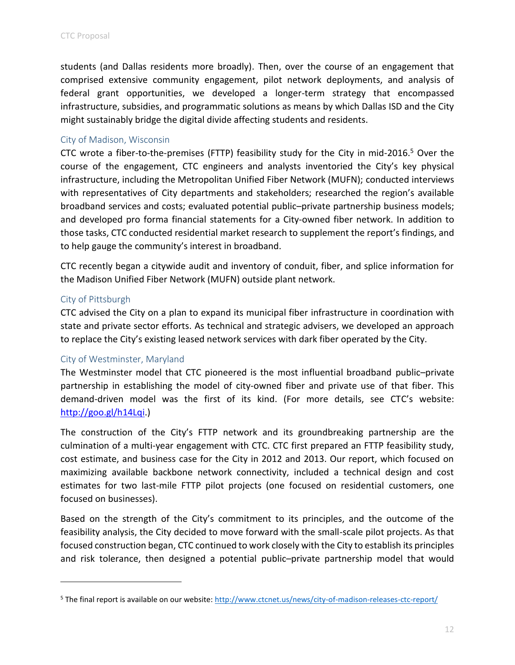students (and Dallas residents more broadly). Then, over the course of an engagement that comprised extensive community engagement, pilot network deployments, and analysis of federal grant opportunities, we developed a longer-term strategy that encompassed infrastructure, subsidies, and programmatic solutions as means by which Dallas ISD and the City might sustainably bridge the digital divide affecting students and residents.

#### <span id="page-14-0"></span>City of Madison, Wisconsin

CTC wrote a fiber-to-the-premises (FTTP) feasibility study for the City in mid-2016.<sup>5</sup> Over the course of the engagement, CTC engineers and analysts inventoried the City's key physical infrastructure, including the Metropolitan Unified Fiber Network (MUFN); conducted interviews with representatives of City departments and stakeholders; researched the region's available broadband services and costs; evaluated potential public–private partnership business models; and developed pro forma financial statements for a City-owned fiber network. In addition to those tasks, CTC conducted residential market research to supplement the report's findings, and to help gauge the community's interest in broadband.

CTC recently began a citywide audit and inventory of conduit, fiber, and splice information for the Madison Unified Fiber Network (MUFN) outside plant network.

#### <span id="page-14-1"></span>City of Pittsburgh

CTC advised the City on a plan to expand its municipal fiber infrastructure in coordination with state and private sector efforts. As technical and strategic advisers, we developed an approach to replace the City's existing leased network services with dark fiber operated by the City.

#### <span id="page-14-2"></span>City of Westminster, Maryland

The Westminster model that CTC pioneered is the most influential broadband public–private partnership in establishing the model of city-owned fiber and private use of that fiber. This demand-driven model was the first of its kind. (For more details, see CTC's website: [http://goo.gl/h14Lqi.](http://goo.gl/h14Lqi))

The construction of the City's FTTP network and its groundbreaking partnership are the culmination of a multi-year engagement with CTC. CTC first prepared an FTTP feasibility study, cost estimate, and business case for the City in 2012 and 2013. Our report, which focused on maximizing available backbone network connectivity, included a technical design and cost estimates for two last-mile FTTP pilot projects (one focused on residential customers, one focused on businesses).

Based on the strength of the City's commitment to its principles, and the outcome of the feasibility analysis, the City decided to move forward with the small-scale pilot projects. As that focused construction began, CTC continued to work closely with the City to establish its principles and risk tolerance, then designed a potential public–private partnership model that would

<sup>&</sup>lt;sup>5</sup> The final report is available on our website[: http://www.ctcnet.us/news/city-of-madison-releases-ctc-report/](http://www.ctcnet.us/news/city-of-madison-releases-ctc-report/)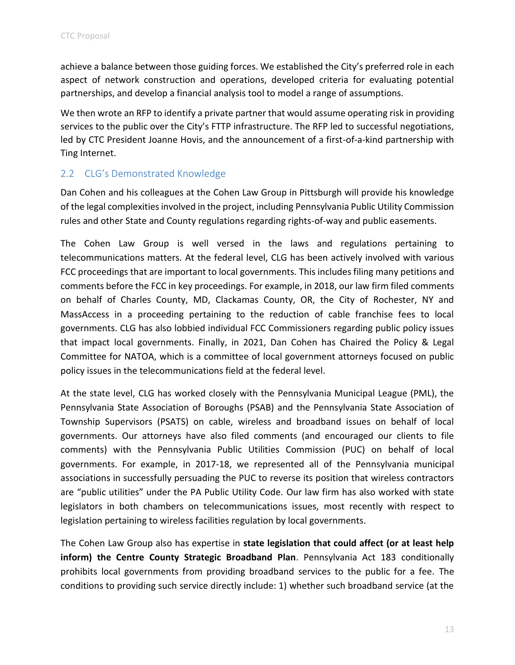achieve a balance between those guiding forces. We established the City's preferred role in each aspect of network construction and operations, developed criteria for evaluating potential partnerships, and develop a financial analysis tool to model a range of assumptions.

We then wrote an RFP to identify a private partner that would assume operating risk in providing services to the public over the City's FTTP infrastructure. The RFP led to successful negotiations, led by CTC President Joanne Hovis, and the announcement of a first-of-a-kind partnership with Ting Internet.

## <span id="page-15-0"></span>2.2 CLG's Demonstrated Knowledge

Dan Cohen and his colleagues at the Cohen Law Group in Pittsburgh will provide his knowledge of the legal complexities involved in the project, including Pennsylvania Public Utility Commission rules and other State and County regulations regarding rights-of-way and public easements.

The Cohen Law Group is well versed in the laws and regulations pertaining to telecommunications matters. At the federal level, CLG has been actively involved with various FCC proceedings that are important to local governments. This includes filing many petitions and comments before the FCC in key proceedings. For example, in 2018, our law firm filed comments on behalf of Charles County, MD, Clackamas County, OR, the City of Rochester, NY and MassAccess in a proceeding pertaining to the reduction of cable franchise fees to local governments. CLG has also lobbied individual FCC Commissioners regarding public policy issues that impact local governments. Finally, in 2021, Dan Cohen has Chaired the Policy & Legal Committee for NATOA, which is a committee of local government attorneys focused on public policy issues in the telecommunications field at the federal level.

At the state level, CLG has worked closely with the Pennsylvania Municipal League (PML), the Pennsylvania State Association of Boroughs (PSAB) and the Pennsylvania State Association of Township Supervisors (PSATS) on cable, wireless and broadband issues on behalf of local governments. Our attorneys have also filed comments (and encouraged our clients to file comments) with the Pennsylvania Public Utilities Commission (PUC) on behalf of local governments. For example, in 2017-18, we represented all of the Pennsylvania municipal associations in successfully persuading the PUC to reverse its position that wireless contractors are "public utilities" under the PA Public Utility Code. Our law firm has also worked with state legislators in both chambers on telecommunications issues, most recently with respect to legislation pertaining to wireless facilities regulation by local governments.

The Cohen Law Group also has expertise in **state legislation that could affect (or at least help inform) the Centre County Strategic Broadband Plan**. Pennsylvania Act 183 conditionally prohibits local governments from providing broadband services to the public for a fee. The conditions to providing such service directly include: 1) whether such broadband service (at the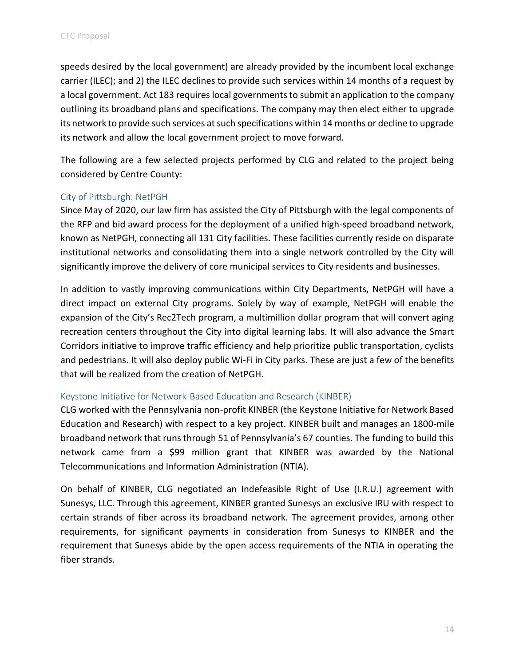speeds desired by the local government) are already provided by the incumbent local exchange carrier (ILEC); and 2) the ILEC declines to provide such services within 14 months of a request by a local government. Act 183 requires local governments to submit an application to the company outlining its broadband plans and specifications. The company may then elect either to upgrade its network to provide such services at such specifications within 14 months or decline to upgrade its network and allow the local government project to move forward.

The following are a few selected projects performed by CLG and related to the project being considered by Centre County:

#### <span id="page-16-0"></span>City of Pittsburgh: NetPGH

Since May of 2020, our law firm has assisted the City of Pittsburgh with the legal components of the RFP and bid award process for the deployment of a unified high-speed broadband network, known as NetPGH, connecting all 131 City facilities. These facilities currently reside on disparate institutional networks and consolidating them into a single network controlled by the City will significantly improve the delivery of core municipal services to City residents and businesses.

In addition to vastly improving communications within City Departments, NetPGH will have a direct impact on external City programs. Solely by way of example, NetPGH will enable the expansion of the City's Rec2Tech program, a multimillion dollar program that will convert aging recreation centers throughout the City into digital learning labs. It will also advance the Smart Corridors initiative to improve traffic efficiency and help prioritize public transportation, cyclists and pedestrians. It will also deploy public Wi-Fi in City parks. These are just a few of the benefits that will be realized from the creation of NetPGH.

#### <span id="page-16-1"></span>Keystone Initiative for Network-Based Education and Research (KINBER)

CLG worked with the Pennsylvania non-profit KINBER (the Keystone Initiative for Network Based Education and Research) with respect to a key project. KINBER built and manages an 1800-mile broadband network that runs through 51 of Pennsylvania's 67 counties. The funding to build this network came from a \$99 million grant that KINBER was awarded by the National Telecommunications and Information Administration (NTIA).

On behalf of KINBER, CLG negotiated an Indefeasible Right of Use (I.R.U.) agreement with Sunesys, LLC. Through this agreement, KINBER granted Sunesys an exclusive IRU with respect to certain strands of fiber across its broadband network. The agreement provides, among other requirements, for significant payments in consideration from Sunesys to KINBER and the requirement that Sunesys abide by the open access requirements of the NTIA in operating the fiber strands.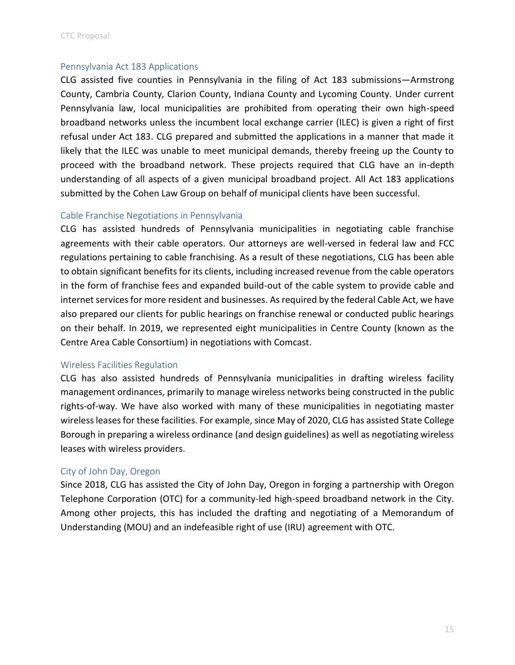#### <span id="page-17-0"></span>Pennsylvania Act 183 Applications

CLG assisted five counties in Pennsylvania in the filing of Act 183 submissions—Armstrong County, Cambria County, Clarion County, Indiana County and Lycoming County. Under current Pennsylvania law, local municipalities are prohibited from operating their own high-speed broadband networks unless the incumbent local exchange carrier (ILEC) is given a right of first refusal under Act 183. CLG prepared and submitted the applications in a manner that made it likely that the ILEC was unable to meet municipal demands, thereby freeing up the County to proceed with the broadband network. These projects required that CLG have an in-depth understanding of all aspects of a given municipal broadband project. All Act 183 applications submitted by the Cohen Law Group on behalf of municipal clients have been successful.

#### <span id="page-17-1"></span>Cable Franchise Negotiations in Pennsylvania

CLG has assisted hundreds of Pennsylvania municipalities in negotiating cable franchise agreements with their cable operators. Our attorneys are well-versed in federal law and FCC regulations pertaining to cable franchising. As a result of these negotiations, CLG has been able to obtain significant benefits for its clients, including increased revenue from the cable operators in the form of franchise fees and expanded build-out of the cable system to provide cable and internet services for more resident and businesses. As required by the federal Cable Act, we have also prepared our clients for public hearings on franchise renewal or conducted public hearings on their behalf. In 2019, we represented eight municipalities in Centre County (known as the Centre Area Cable Consortium) in negotiations with Comcast.

#### <span id="page-17-2"></span>Wireless Facilities Regulation

CLG has also assisted hundreds of Pennsylvania municipalities in drafting wireless facility management ordinances, primarily to manage wireless networks being constructed in the public rights-of-way. We have also worked with many of these municipalities in negotiating master wireless leases for these facilities. For example, since May of 2020, CLG has assisted State College Borough in preparing a wireless ordinance (and design guidelines) as well as negotiating wireless leases with wireless providers.

## <span id="page-17-3"></span>City of John Day, Oregon

Since 2018, CLG has assisted the City of John Day, Oregon in forging a partnership with Oregon Telephone Corporation (OTC) for a community-led high-speed broadband network in the City. Among other projects, this has included the drafting and negotiating of a Memorandum of Understanding (MOU) and an indefeasible right of use (IRU) agreement with OTC.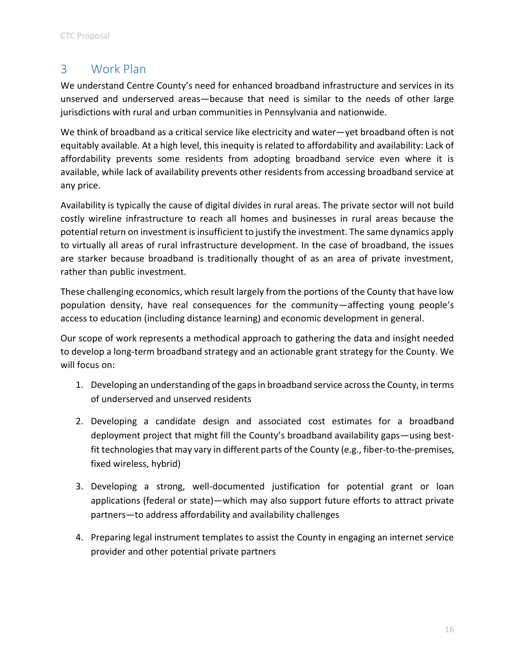# <span id="page-18-0"></span>3 Work Plan

We understand Centre County's need for enhanced broadband infrastructure and services in its unserved and underserved areas—because that need is similar to the needs of other large jurisdictions with rural and urban communities in Pennsylvania and nationwide.

We think of broadband as a critical service like electricity and water—yet broadband often is not equitably available. At a high level, this inequity is related to affordability and availability: Lack of affordability prevents some residents from adopting broadband service even where it is available, while lack of availability prevents other residents from accessing broadband service at any price.

Availability is typically the cause of digital divides in rural areas. The private sector will not build costly wireline infrastructure to reach all homes and businesses in rural areas because the potential return on investment is insufficient to justify the investment. The same dynamics apply to virtually all areas of rural infrastructure development. In the case of broadband, the issues are starker because broadband is traditionally thought of as an area of private investment, rather than public investment.

These challenging economics, which result largely from the portions of the County that have low population density, have real consequences for the community—affecting young people's access to education (including distance learning) and economic development in general.

Our scope of work represents a methodical approach to gathering the data and insight needed to develop a long-term broadband strategy and an actionable grant strategy for the County. We will focus on:

- 1. Developing an understanding of the gaps in broadband service across the County, in terms of underserved and unserved residents
- 2. Developing a candidate design and associated cost estimates for a broadband deployment project that might fill the County's broadband availability gaps—using bestfit technologies that may vary in different parts of the County (e.g., fiber-to-the-premises, fixed wireless, hybrid)
- 3. Developing a strong, well-documented justification for potential grant or loan applications (federal or state)—which may also support future efforts to attract private partners—to address affordability and availability challenges
- 4. Preparing legal instrument templates to assist the County in engaging an internet service provider and other potential private partners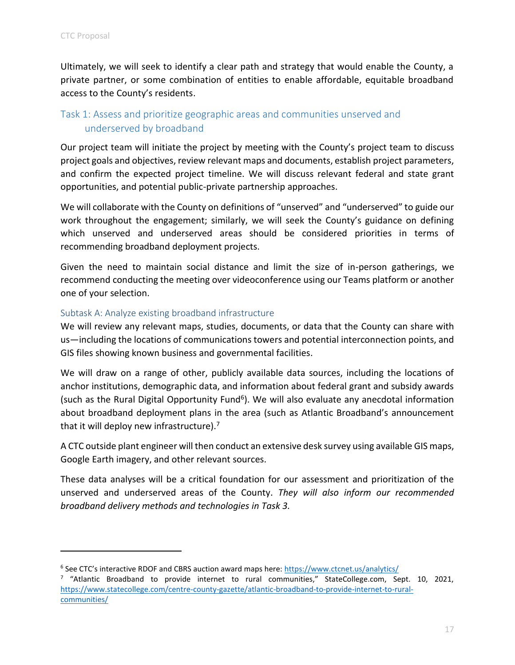Ultimately, we will seek to identify a clear path and strategy that would enable the County, a private partner, or some combination of entities to enable affordable, equitable broadband access to the County's residents.

## <span id="page-19-0"></span>Task 1: Assess and prioritize geographic areas and communities unserved and underserved by broadband

Our project team will initiate the project by meeting with the County's project team to discuss project goals and objectives, review relevant maps and documents, establish project parameters, and confirm the expected project timeline. We will discuss relevant federal and state grant opportunities, and potential public-private partnership approaches.

We will collaborate with the County on definitions of "unserved" and "underserved" to guide our work throughout the engagement; similarly, we will seek the County's guidance on defining which unserved and underserved areas should be considered priorities in terms of recommending broadband deployment projects.

Given the need to maintain social distance and limit the size of in-person gatherings, we recommend conducting the meeting over videoconference using our Teams platform or another one of your selection.

#### <span id="page-19-1"></span>Subtask A: Analyze existing broadband infrastructure

We will review any relevant maps, studies, documents, or data that the County can share with us—including the locations of communications towers and potential interconnection points, and GIS files showing known business and governmental facilities.

We will draw on a range of other, publicly available data sources, including the locations of anchor institutions, demographic data, and information about federal grant and subsidy awards (such as the Rural Digital Opportunity Fund<sup>6</sup>). We will also evaluate any anecdotal information about broadband deployment plans in the area (such as Atlantic Broadband's announcement that it will deploy new infrastructure).<sup>7</sup>

A CTC outside plant engineer will then conduct an extensive desk survey using available GIS maps, Google Earth imagery, and other relevant sources.

These data analyses will be a critical foundation for our assessment and prioritization of the unserved and underserved areas of the County. *They will also inform our recommended broadband delivery methods and technologies in Task 3.*

<sup>&</sup>lt;sup>6</sup> See CTC's interactive RDOF and CBRS auction award maps here: <https://www.ctcnet.us/analytics/> <sup>7</sup> "Atlantic Broadband to provide internet to rural communities," StateCollege.com, Sept. 10, 2021, [https://www.statecollege.com/centre-county-gazette/atlantic-broadband-to-provide-internet-to-rural](https://www.statecollege.com/centre-county-gazette/atlantic-broadband-to-provide-internet-to-rural-communities/)[communities/](https://www.statecollege.com/centre-county-gazette/atlantic-broadband-to-provide-internet-to-rural-communities/)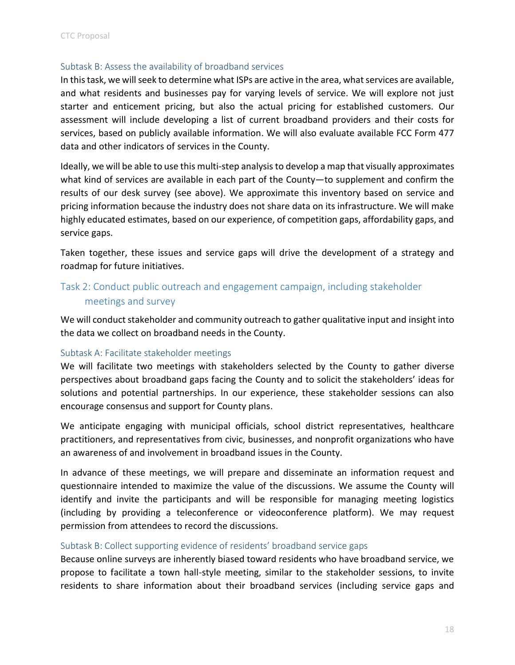#### <span id="page-20-0"></span>Subtask B: Assess the availability of broadband services

In this task, we will seek to determine what ISPs are active in the area, what services are available, and what residents and businesses pay for varying levels of service. We will explore not just starter and enticement pricing, but also the actual pricing for established customers. Our assessment will include developing a list of current broadband providers and their costs for services, based on publicly available information. We will also evaluate available FCC Form 477 data and other indicators of services in the County.

Ideally, we will be able to use this multi-step analysis to develop a map that visually approximates what kind of services are available in each part of the County—to supplement and confirm the results of our desk survey (see above). We approximate this inventory based on service and pricing information because the industry does not share data on its infrastructure. We will make highly educated estimates, based on our experience, of competition gaps, affordability gaps, and service gaps.

Taken together, these issues and service gaps will drive the development of a strategy and roadmap for future initiatives.

## <span id="page-20-1"></span>Task 2: Conduct public outreach and engagement campaign, including stakeholder meetings and survey

We will conduct stakeholder and community outreach to gather qualitative input and insight into the data we collect on broadband needs in the County.

#### <span id="page-20-2"></span>Subtask A: Facilitate stakeholder meetings

We will facilitate two meetings with stakeholders selected by the County to gather diverse perspectives about broadband gaps facing the County and to solicit the stakeholders' ideas for solutions and potential partnerships. In our experience, these stakeholder sessions can also encourage consensus and support for County plans.

We anticipate engaging with municipal officials, school district representatives, healthcare practitioners, and representatives from civic, businesses, and nonprofit organizations who have an awareness of and involvement in broadband issues in the County.

In advance of these meetings, we will prepare and disseminate an information request and questionnaire intended to maximize the value of the discussions. We assume the County will identify and invite the participants and will be responsible for managing meeting logistics (including by providing a teleconference or videoconference platform). We may request permission from attendees to record the discussions.

#### <span id="page-20-3"></span>Subtask B: Collect supporting evidence of residents' broadband service gaps

Because online surveys are inherently biased toward residents who have broadband service, we propose to facilitate a town hall-style meeting, similar to the stakeholder sessions, to invite residents to share information about their broadband services (including service gaps and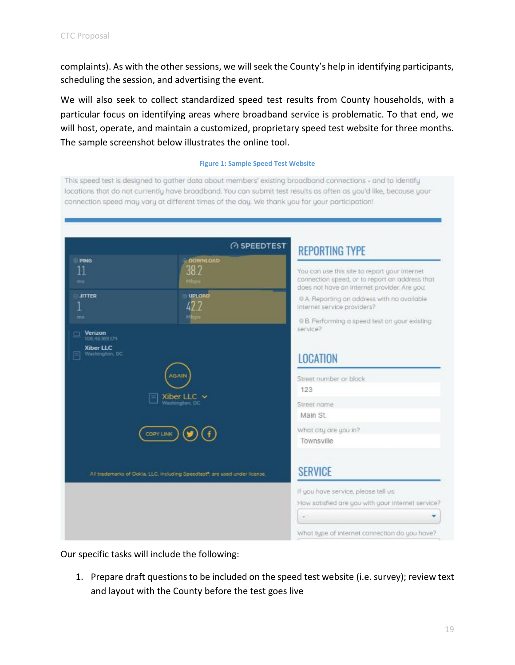complaints). As with the other sessions, we will seek the County's help in identifying participants, scheduling the session, and advertising the event.

We will also seek to collect standardized speed test results from County households, with a particular focus on identifying areas where broadband service is problematic. To that end, we will host, operate, and maintain a customized, proprietary speed test website for three months. The sample screenshot below illustrates the online tool.

#### **Figure 1: Sample Speed Test Website**

This speed test is designed to gather data about members' existing broadband connections - and to identify locations that do not currently have broadband. You can submit test results as often as you'd like, because your connection speed may vary at different times of the day. We thank you for your participation!

|                                                        | <b>@SPEEDTEST</b>                                                           | <b>REPORTING TYPE</b>                                                                                                                                                                                                                                                          |  |  |  |  |
|--------------------------------------------------------|-----------------------------------------------------------------------------|--------------------------------------------------------------------------------------------------------------------------------------------------------------------------------------------------------------------------------------------------------------------------------|--|--|--|--|
| <b>PING</b><br>11<br>ms<br><b>JITTER</b><br>ms         | <b>DOWNLOAD</b><br>38.2<br>Milbypre<br>UPLOAD<br>42 7                       | You can use this site to report your internet<br>connection speed, or to report an address that<br>does not have an internet provider. Are you:<br>O A. Reporting an address with no available<br>internet service providers?<br>O B. Performing a speed test on your existing |  |  |  |  |
| Verizon<br>108.48389374<br>Xiber LLC<br>Washington, DC | GAIN                                                                        | service?<br><b>LOCATION</b><br>Street number or block<br>123<br>Street name<br>Main St.<br>What city are you in?<br>Townsville                                                                                                                                                 |  |  |  |  |
|                                                        | Xiber LLC $\sim$<br>Washington, DC                                          |                                                                                                                                                                                                                                                                                |  |  |  |  |
| <b>COPY LINK</b>                                       |                                                                             |                                                                                                                                                                                                                                                                                |  |  |  |  |
|                                                        | All trademarks of Ookla, LLC, including Speedtest*, are used under license. | <b>SERVICE</b>                                                                                                                                                                                                                                                                 |  |  |  |  |
|                                                        |                                                                             | If you have service, please tell us:<br>How satisfied are you with your internet service?                                                                                                                                                                                      |  |  |  |  |
|                                                        |                                                                             | What type of internet connection do you have?                                                                                                                                                                                                                                  |  |  |  |  |

Our specific tasks will include the following:

1. Prepare draft questions to be included on the speed test website (i.e. survey); review text and layout with the County before the test goes live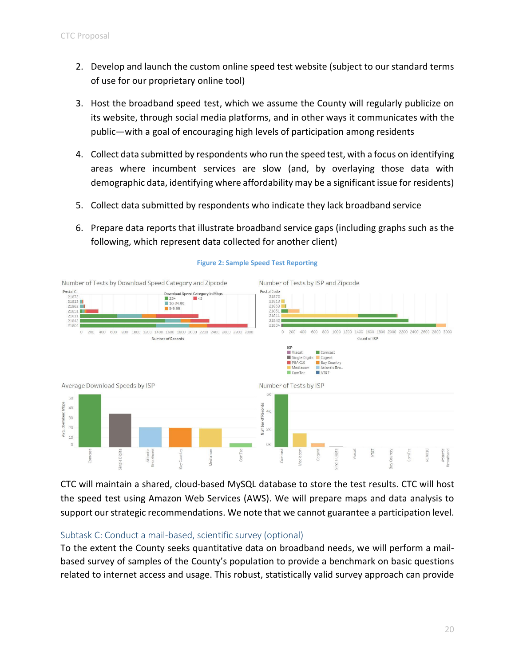- 2. Develop and launch the custom online speed test website (subject to our standard terms of use for our proprietary online tool)
- 3. Host the broadband speed test, which we assume the County will regularly publicize on its website, through social media platforms, and in other ways it communicates with the public—with a goal of encouraging high levels of participation among residents
- 4. Collect data submitted by respondents who run the speed test, with a focus on identifying areas where incumbent services are slow (and, by overlaying those data with demographic data, identifying where affordability may be a significant issue for residents)
- 5. Collect data submitted by respondents who indicate they lack broadband service
- 6. Prepare data reports that illustrate broadband service gaps (including graphs such as the following, which represent data collected for another client)



#### **Figure 2: Sample Speed Test Reporting**

CTC will maintain a shared, cloud-based MySQL database to store the test results. CTC will host the speed test using Amazon Web Services (AWS). We will prepare maps and data analysis to support our strategic recommendations. We note that we cannot guarantee a participation level.

#### <span id="page-22-0"></span>Subtask C: Conduct a mail-based, scientific survey (optional)

To the extent the County seeks quantitative data on broadband needs, we will perform a mailbased survey of samples of the County's population to provide a benchmark on basic questions related to internet access and usage. This robust, statistically valid survey approach can provide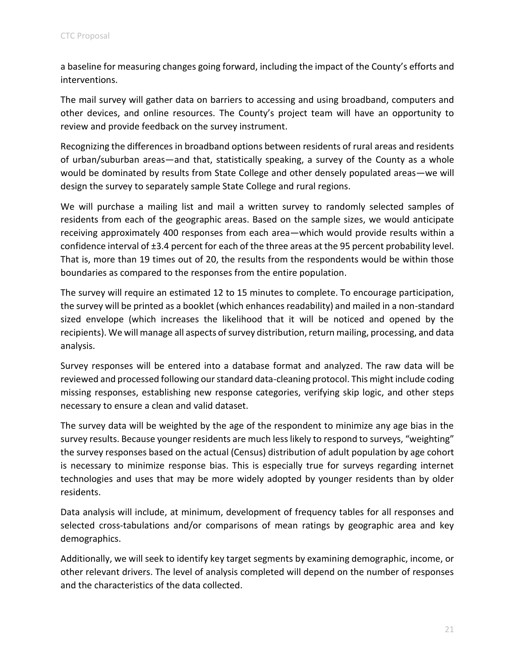a baseline for measuring changes going forward, including the impact of the County's efforts and interventions.

The mail survey will gather data on barriers to accessing and using broadband, computers and other devices, and online resources. The County's project team will have an opportunity to review and provide feedback on the survey instrument.

Recognizing the differences in broadband options between residents of rural areas and residents of urban/suburban areas—and that, statistically speaking, a survey of the County as a whole would be dominated by results from State College and other densely populated areas—we will design the survey to separately sample State College and rural regions.

We will purchase a mailing list and mail a written survey to randomly selected samples of residents from each of the geographic areas. Based on the sample sizes, we would anticipate receiving approximately 400 responses from each area—which would provide results within a confidence interval of ±3.4 percent for each of the three areas at the 95 percent probability level. That is, more than 19 times out of 20, the results from the respondents would be within those boundaries as compared to the responses from the entire population.

The survey will require an estimated 12 to 15 minutes to complete. To encourage participation, the survey will be printed as a booklet (which enhances readability) and mailed in a non-standard sized envelope (which increases the likelihood that it will be noticed and opened by the recipients). We will manage all aspects of survey distribution, return mailing, processing, and data analysis.

Survey responses will be entered into a database format and analyzed. The raw data will be reviewed and processed following our standard data-cleaning protocol. This might include coding missing responses, establishing new response categories, verifying skip logic, and other steps necessary to ensure a clean and valid dataset.

The survey data will be weighted by the age of the respondent to minimize any age bias in the survey results. Because younger residents are much less likely to respond to surveys, "weighting" the survey responses based on the actual (Census) distribution of adult population by age cohort is necessary to minimize response bias. This is especially true for surveys regarding internet technologies and uses that may be more widely adopted by younger residents than by older residents.

Data analysis will include, at minimum, development of frequency tables for all responses and selected cross-tabulations and/or comparisons of mean ratings by geographic area and key demographics.

Additionally, we will seek to identify key target segments by examining demographic, income, or other relevant drivers. The level of analysis completed will depend on the number of responses and the characteristics of the data collected.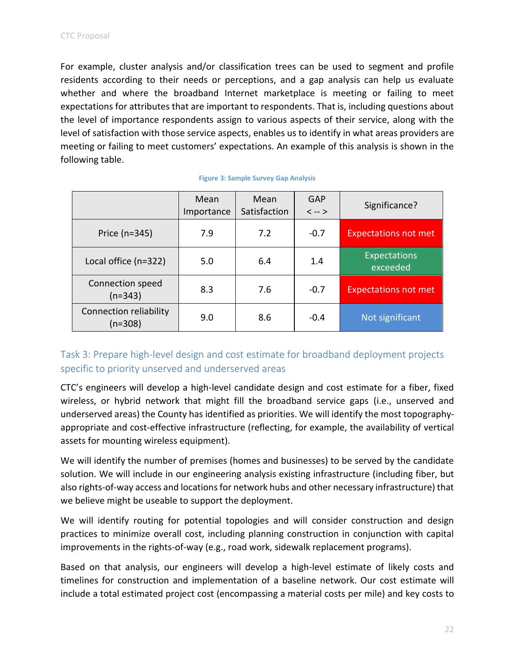For example, cluster analysis and/or classification trees can be used to segment and profile residents according to their needs or perceptions, and a gap analysis can help us evaluate whether and where the broadband Internet marketplace is meeting or failing to meet expectations for attributes that are important to respondents. That is, including questions about the level of importance respondents assign to various aspects of their service, along with the level of satisfaction with those service aspects, enables us to identify in what areas providers are meeting or failing to meet customers' expectations. An example of this analysis is shown in the following table.

|                                     | Mean<br>Importance | Mean<br>Satisfaction | GAP<br>$\langle -2 \rangle$ | Significance?                   |
|-------------------------------------|--------------------|----------------------|-----------------------------|---------------------------------|
| Price $(n=345)$                     | 7.9                | 7.2                  | $-0.7$                      | <b>Expectations not met</b>     |
| Local office (n=322)                | 5.0                | 6.4                  | 1.4                         | <b>Expectations</b><br>exceeded |
| Connection speed<br>$(n=343)$       | 8.3                | 7.6                  | $-0.7$                      | <b>Expectations not met</b>     |
| Connection reliability<br>$(n=308)$ | 9.0                | 8.6                  | $-0.4$                      | Not significant                 |

#### **Figure 3: Sample Survey Gap Analysis**

## <span id="page-24-0"></span>Task 3: Prepare high-level design and cost estimate for broadband deployment projects specific to priority unserved and underserved areas

CTC's engineers will develop a high-level candidate design and cost estimate for a fiber, fixed wireless, or hybrid network that might fill the broadband service gaps (i.e., unserved and underserved areas) the County has identified as priorities. We will identify the most topographyappropriate and cost-effective infrastructure (reflecting, for example, the availability of vertical assets for mounting wireless equipment).

We will identify the number of premises (homes and businesses) to be served by the candidate solution. We will include in our engineering analysis existing infrastructure (including fiber, but also rights-of-way access and locations for network hubs and other necessary infrastructure) that we believe might be useable to support the deployment.

We will identify routing for potential topologies and will consider construction and design practices to minimize overall cost, including planning construction in conjunction with capital improvements in the rights-of-way (e.g., road work, sidewalk replacement programs).

Based on that analysis, our engineers will develop a high-level estimate of likely costs and timelines for construction and implementation of a baseline network. Our cost estimate will include a total estimated project cost (encompassing a material costs per mile) and key costs to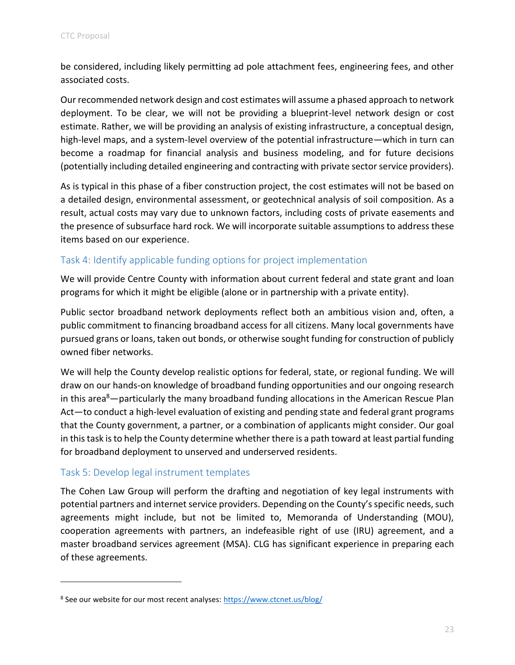be considered, including likely permitting ad pole attachment fees, engineering fees, and other associated costs.

Our recommended network design and cost estimates will assume a phased approach to network deployment. To be clear, we will not be providing a blueprint-level network design or cost estimate. Rather, we will be providing an analysis of existing infrastructure, a conceptual design, high-level maps, and a system-level overview of the potential infrastructure—which in turn can become a roadmap for financial analysis and business modeling, and for future decisions (potentially including detailed engineering and contracting with private sector service providers).

As is typical in this phase of a fiber construction project, the cost estimates will not be based on a detailed design, environmental assessment, or geotechnical analysis of soil composition. As a result, actual costs may vary due to unknown factors, including costs of private easements and the presence of subsurface hard rock. We will incorporate suitable assumptions to address these items based on our experience.

## <span id="page-25-0"></span>Task 4: Identify applicable funding options for project implementation

We will provide Centre County with information about current federal and state grant and loan programs for which it might be eligible (alone or in partnership with a private entity).

Public sector broadband network deployments reflect both an ambitious vision and, often, a public commitment to financing broadband access for all citizens. Many local governments have pursued grans or loans, taken out bonds, or otherwise sought funding for construction of publicly owned fiber networks.

We will help the County develop realistic options for federal, state, or regional funding. We will draw on our hands-on knowledge of broadband funding opportunities and our ongoing research in this area $8-$  particularly the many broadband funding allocations in the American Rescue Plan Act—to conduct a high-level evaluation of existing and pending state and federal grant programs that the County government, a partner, or a combination of applicants might consider. Our goal in this task is to help the County determine whether there is a path toward at least partial funding for broadband deployment to unserved and underserved residents.

## <span id="page-25-1"></span>Task 5: Develop legal instrument templates

The Cohen Law Group will perform the drafting and negotiation of key legal instruments with potential partners and internet service providers. Depending on the County's specific needs, such agreements might include, but not be limited to, Memoranda of Understanding (MOU), cooperation agreements with partners, an indefeasible right of use (IRU) agreement, and a master broadband services agreement (MSA). CLG has significant experience in preparing each of these agreements.

<sup>&</sup>lt;sup>8</sup> See our website for our most recent analyses:<https://www.ctcnet.us/blog/>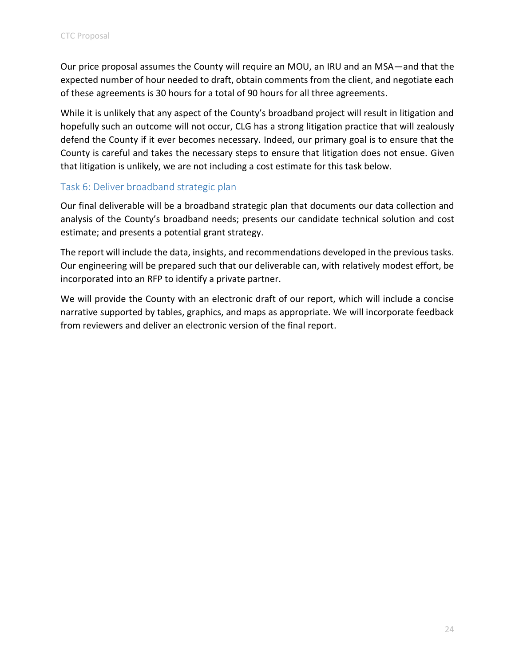Our price proposal assumes the County will require an MOU, an IRU and an MSA—and that the expected number of hour needed to draft, obtain comments from the client, and negotiate each of these agreements is 30 hours for a total of 90 hours for all three agreements.

While it is unlikely that any aspect of the County's broadband project will result in litigation and hopefully such an outcome will not occur, CLG has a strong litigation practice that will zealously defend the County if it ever becomes necessary. Indeed, our primary goal is to ensure that the County is careful and takes the necessary steps to ensure that litigation does not ensue. Given that litigation is unlikely, we are not including a cost estimate for this task below.

## <span id="page-26-0"></span>Task 6: Deliver broadband strategic plan

Our final deliverable will be a broadband strategic plan that documents our data collection and analysis of the County's broadband needs; presents our candidate technical solution and cost estimate; and presents a potential grant strategy.

The report will include the data, insights, and recommendations developed in the previous tasks. Our engineering will be prepared such that our deliverable can, with relatively modest effort, be incorporated into an RFP to identify a private partner.

We will provide the County with an electronic draft of our report, which will include a concise narrative supported by tables, graphics, and maps as appropriate. We will incorporate feedback from reviewers and deliver an electronic version of the final report.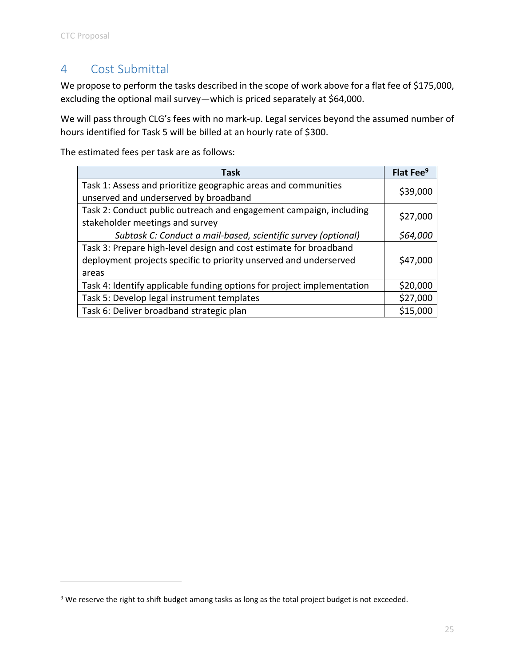## <span id="page-27-0"></span>4 Cost Submittal

We propose to perform the tasks described in the scope of work above for a flat fee of \$175,000, excluding the optional mail survey—which is priced separately at \$64,000.

We will pass through CLG's fees with no mark-up. Legal services beyond the assumed number of hours identified for Task 5 will be billed at an hourly rate of \$300.

The estimated fees per task are as follows:

| <b>Task</b>                                                                                                                                     | Flat Fee <sup>9</sup> |
|-------------------------------------------------------------------------------------------------------------------------------------------------|-----------------------|
| Task 1: Assess and prioritize geographic areas and communities<br>unserved and underserved by broadband                                         | \$39,000              |
| Task 2: Conduct public outreach and engagement campaign, including<br>stakeholder meetings and survey                                           | \$27,000              |
| Subtask C: Conduct a mail-based, scientific survey (optional)                                                                                   | \$64,000              |
| Task 3: Prepare high-level design and cost estimate for broadband<br>deployment projects specific to priority unserved and underserved<br>areas | \$47,000              |
| Task 4: Identify applicable funding options for project implementation                                                                          | \$20,000              |
| Task 5: Develop legal instrument templates                                                                                                      | \$27,000              |
| Task 6: Deliver broadband strategic plan                                                                                                        | \$15,000              |

<sup>&</sup>lt;sup>9</sup> We reserve the right to shift budget among tasks as long as the total project budget is not exceeded.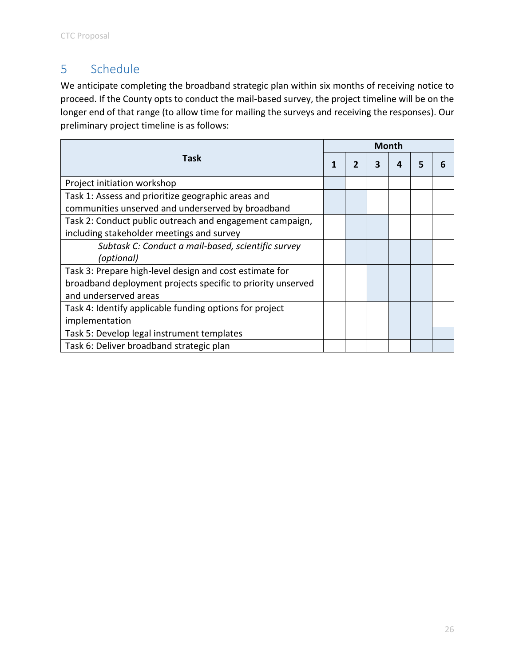# <span id="page-28-0"></span>5 Schedule

We anticipate completing the broadband strategic plan within six months of receiving notice to proceed. If the County opts to conduct the mail-based survey, the project timeline will be on the longer end of that range (to allow time for mailing the surveys and receiving the responses). Our preliminary project timeline is as follows:

| Task                                                        |  | <b>Month</b> |   |   |   |  |
|-------------------------------------------------------------|--|--------------|---|---|---|--|
|                                                             |  | 2            | 3 | Δ | 5 |  |
| Project initiation workshop                                 |  |              |   |   |   |  |
| Task 1: Assess and prioritize geographic areas and          |  |              |   |   |   |  |
| communities unserved and underserved by broadband           |  |              |   |   |   |  |
| Task 2: Conduct public outreach and engagement campaign,    |  |              |   |   |   |  |
| including stakeholder meetings and survey                   |  |              |   |   |   |  |
| Subtask C: Conduct a mail-based, scientific survey          |  |              |   |   |   |  |
| (optional)                                                  |  |              |   |   |   |  |
| Task 3: Prepare high-level design and cost estimate for     |  |              |   |   |   |  |
| broadband deployment projects specific to priority unserved |  |              |   |   |   |  |
| and underserved areas                                       |  |              |   |   |   |  |
| Task 4: Identify applicable funding options for project     |  |              |   |   |   |  |
| implementation                                              |  |              |   |   |   |  |
| Task 5: Develop legal instrument templates                  |  |              |   |   |   |  |
| Task 6: Deliver broadband strategic plan                    |  |              |   |   |   |  |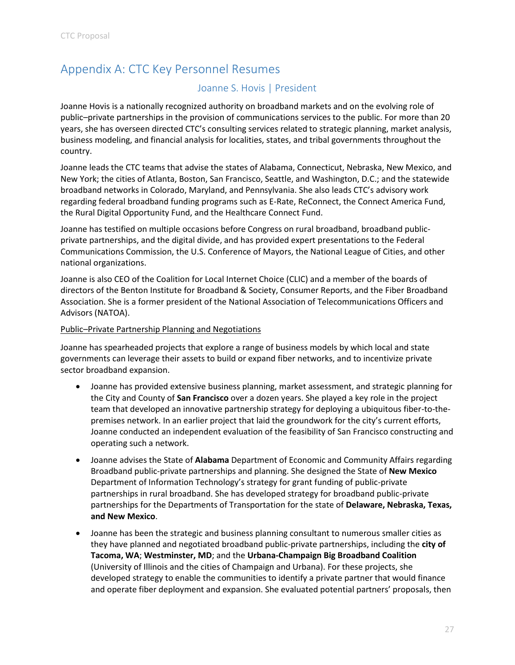# <span id="page-29-1"></span><span id="page-29-0"></span>Appendix A: CTC Key Personnel Resumes

## Joanne S. Hovis | President

Joanne Hovis is a nationally recognized authority on broadband markets and on the evolving role of public–private partnerships in the provision of communications services to the public. For more than 20 years, she has overseen directed CTC's consulting services related to strategic planning, market analysis, business modeling, and financial analysis for localities, states, and tribal governments throughout the country.

Joanne leads the CTC teams that advise the states of Alabama, Connecticut, Nebraska, New Mexico, and New York; the cities of Atlanta, Boston, San Francisco, Seattle, and Washington, D.C.; and the statewide broadband networks in Colorado, Maryland, and Pennsylvania. She also leads CTC's advisory work regarding federal broadband funding programs such as E-Rate, ReConnect, the Connect America Fund, the Rural Digital Opportunity Fund, and the Healthcare Connect Fund.

Joanne has testified on multiple occasions before Congress on rural broadband, broadband publicprivate partnerships, and the digital divide, and has provided expert presentations to the Federal Communications Commission, the U.S. Conference of Mayors, the National League of Cities, and other national organizations.

Joanne is also CEO of the Coalition for Local Internet Choice (CLIC) and a member of the boards of directors of the Benton Institute for Broadband & Society, Consumer Reports, and the Fiber Broadband Association. She is a former president of the National Association of Telecommunications Officers and Advisors (NATOA).

#### Public–Private Partnership Planning and Negotiations

Joanne has spearheaded projects that explore a range of business models by which local and state governments can leverage their assets to build or expand fiber networks, and to incentivize private sector broadband expansion.

- Joanne has provided extensive business planning, market assessment, and strategic planning for the City and County of **San Francisco** over a dozen years. She played a key role in the project team that developed an innovative partnership strategy for deploying a ubiquitous fiber-to-thepremises network. In an earlier project that laid the groundwork for the city's current efforts, Joanne conducted an independent evaluation of the feasibility of San Francisco constructing and operating such a network.
- Joanne advises the State of **Alabama** Department of Economic and Community Affairs regarding Broadband public-private partnerships and planning. She designed the State of **New Mexico** Department of Information Technology's strategy for grant funding of public-private partnerships in rural broadband. She has developed strategy for broadband public-private partnerships for the Departments of Transportation for the state of **Delaware, Nebraska, Texas, and New Mexico**.
- Joanne has been the strategic and business planning consultant to numerous smaller cities as they have planned and negotiated broadband public-private partnerships, including the **city of Tacoma, WA**; **Westminster, MD**; and the **Urbana-Champaign Big Broadband Coalition**  (University of Illinois and the cities of Champaign and Urbana). For these projects, she developed strategy to enable the communities to identify a private partner that would finance and operate fiber deployment and expansion. She evaluated potential partners' proposals, then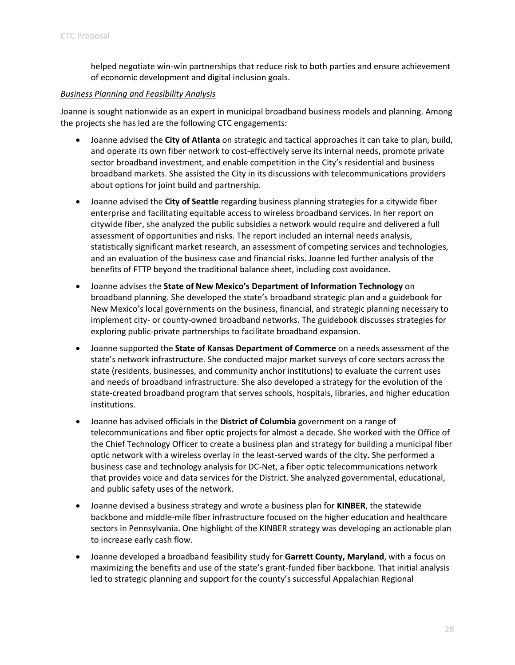helped negotiate win-win partnerships that reduce risk to both parties and ensure achievement of economic development and digital inclusion goals.

#### *Business Planning and Feasibility Analysis*

Joanne is sought nationwide as an expert in municipal broadband business models and planning. Among the projects she has led are the following CTC engagements:

- Joanne advised the **City of Atlanta** on strategic and tactical approaches it can take to plan, build, and operate its own fiber network to cost-effectively serve its internal needs, promote private sector broadband investment, and enable competition in the City's residential and business broadband markets. She assisted the City in its discussions with telecommunications providers about options for joint build and partnership.
- Joanne advised the **City of Seattle** regarding business planning strategies for a citywide fiber enterprise and facilitating equitable access to wireless broadband services. In her report on citywide fiber, she analyzed the public subsidies a network would require and delivered a full assessment of opportunities and risks. The report included an internal needs analysis, statistically significant market research, an assessment of competing services and technologies, and an evaluation of the business case and financial risks. Joanne led further analysis of the benefits of FTTP beyond the traditional balance sheet, including cost avoidance.
- Joanne advises the **State of New Mexico's Department of Information Technology** on broadband planning. She developed the state's broadband strategic plan and a guidebook for New Mexico's local governments on the business, financial, and strategic planning necessary to implement city- or county-owned broadband networks. The guidebook discusses strategies for exploring public-private partnerships to facilitate broadband expansion.
- Joanne supported the **State of Kansas Department of Commerce** on a needs assessment of the state's network infrastructure. She conducted major market surveys of core sectors across the state (residents, businesses, and community anchor institutions) to evaluate the current uses and needs of broadband infrastructure. She also developed a strategy for the evolution of the state-created broadband program that serves schools, hospitals, libraries, and higher education institutions.
- Joanne has advised officials in the **District of Columbia** government on a range of telecommunications and fiber optic projects for almost a decade. She worked with the Office of the Chief Technology Officer to create a business plan and strategy for building a municipal fiber optic network with a wireless overlay in the least-served wards of the city**.** She performed a business case and technology analysis for DC-Net, a fiber optic telecommunications network that provides voice and data services for the District. She analyzed governmental, educational, and public safety uses of the network.
- Joanne devised a business strategy and wrote a business plan for **KINBER**, the statewide backbone and middle-mile fiber infrastructure focused on the higher education and healthcare sectors in Pennsylvania. One highlight of the KINBER strategy was developing an actionable plan to increase early cash flow.
- Joanne developed a broadband feasibility study for **Garrett County, Maryland**, with a focus on maximizing the benefits and use of the state's grant-funded fiber backbone. That initial analysis led to strategic planning and support for the county's successful Appalachian Regional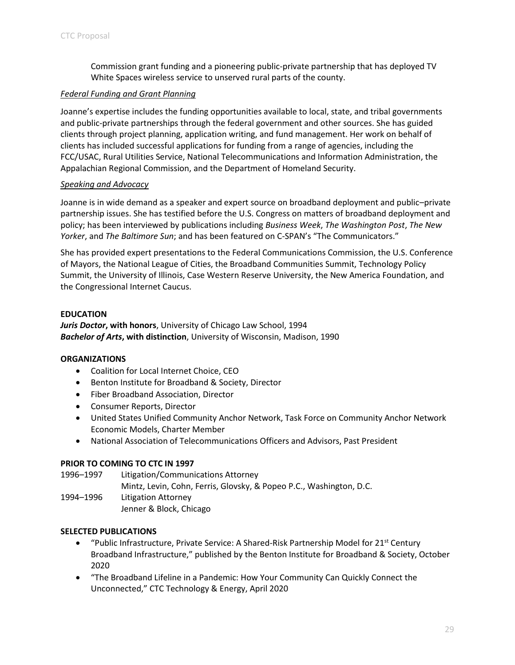Commission grant funding and a pioneering public-private partnership that has deployed TV White Spaces wireless service to unserved rural parts of the county.

#### *Federal Funding and Grant Planning*

Joanne's expertise includes the funding opportunities available to local, state, and tribal governments and public-private partnerships through the federal government and other sources. She has guided clients through project planning, application writing, and fund management. Her work on behalf of clients has included successful applications for funding from a range of agencies, including the FCC/USAC, Rural Utilities Service, National Telecommunications and Information Administration, the Appalachian Regional Commission, and the Department of Homeland Security.

#### *Speaking and Advocacy*

Joanne is in wide demand as a speaker and expert source on broadband deployment and public–private partnership issues. She has testified before the U.S. Congress on matters of broadband deployment and policy; has been interviewed by publications including *Business Week*, *The Washington Post*, *The New Yorker*, and *The Baltimore Sun*; and has been featured on C-SPAN's "The Communicators."

She has provided expert presentations to the Federal Communications Commission, the U.S. Conference of Mayors, the National League of Cities, the Broadband Communities Summit, Technology Policy Summit, the University of Illinois, Case Western Reserve University, the New America Foundation, and the Congressional Internet Caucus.

#### **EDUCATION**

*Juris Doctor***, with honors**, University of Chicago Law School, 1994 *Bachelor of Arts***, with distinction**, University of Wisconsin, Madison, 1990

#### **ORGANIZATIONS**

- Coalition for Local Internet Choice, CEO
- Benton Institute for Broadband & Society, Director
- Fiber Broadband Association, Director
- Consumer Reports, Director
- United States Unified Community Anchor Network, Task Force on Community Anchor Network Economic Models, Charter Member
- National Association of Telecommunications Officers and Advisors, Past President

#### **PRIOR TO COMING TO CTC IN 1997**

1996–1997 Litigation/Communications Attorney Mintz, Levin, Cohn, Ferris, Glovsky, & Popeo P.C., Washington, D.C. 1994–1996 Litigation Attorney Jenner & Block, Chicago

#### **SELECTED PUBLICATIONS**

- "Public Infrastructure, Private Service: A Shared-Risk Partnership Model for  $21^{st}$  Century Broadband Infrastructure," published by the Benton Institute for Broadband & Society, October 2020
- "The Broadband Lifeline in a Pandemic: How Your Community Can Quickly Connect the Unconnected," CTC Technology & Energy, April 2020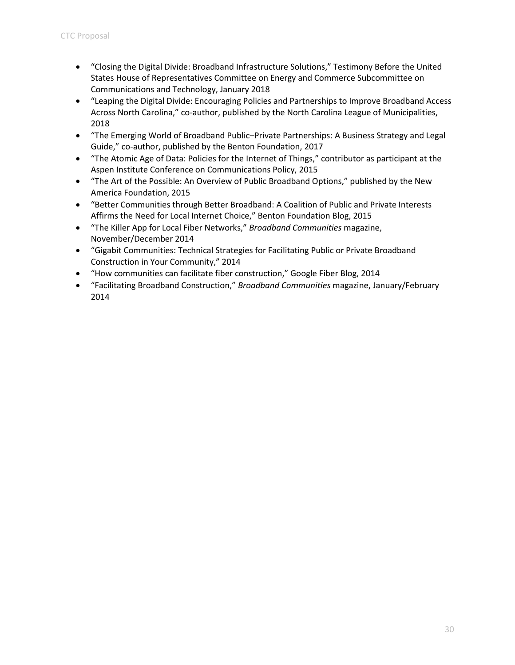- "Closing the Digital Divide: Broadband Infrastructure Solutions," Testimony Before the United States House of Representatives Committee on Energy and Commerce Subcommittee on Communications and Technology, January 2018
- "Leaping the Digital Divide: Encouraging Policies and Partnerships to Improve Broadband Access Across North Carolina," co-author, published by the North Carolina League of Municipalities, 2018
- "The Emerging World of Broadband Public–Private Partnerships: A Business Strategy and Legal Guide," co-author, published by the Benton Foundation, 2017
- "The Atomic Age of Data: Policies for the Internet of Things," contributor as participant at the Aspen Institute Conference on Communications Policy, 2015
- "The Art of the Possible: An Overview of Public Broadband Options," published by the New America Foundation, 2015
- "Better Communities through Better Broadband: A Coalition of Public and Private Interests Affirms the Need for Local Internet Choice," Benton Foundation Blog, 2015
- "The Killer App for Local Fiber Networks," *Broadband Communities* magazine, November/December 2014
- "Gigabit Communities: Technical Strategies for Facilitating Public or Private Broadband Construction in Your Community," 2014
- "How communities can facilitate fiber construction," Google Fiber Blog, 2014
- "Facilitating Broadband Construction," *Broadband Communities* magazine, January/February 2014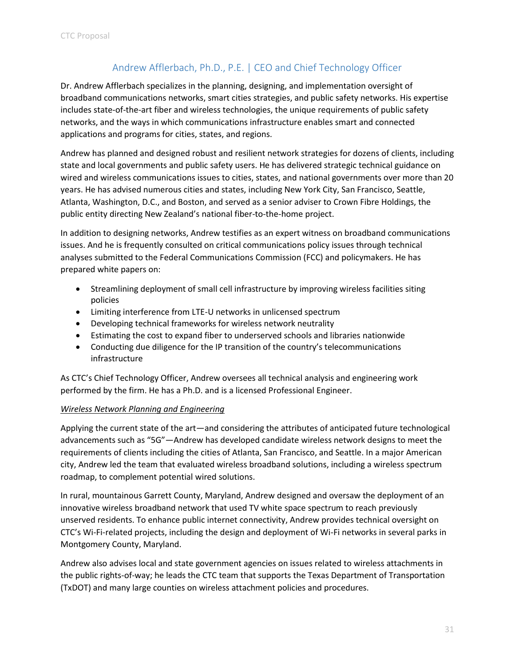## Andrew Afflerbach, Ph.D., P.E. | CEO and Chief Technology Officer

<span id="page-33-0"></span>Dr. Andrew Afflerbach specializes in the planning, designing, and implementation oversight of broadband communications networks, smart cities strategies, and public safety networks. His expertise includes state-of-the-art fiber and wireless technologies, the unique requirements of public safety networks, and the ways in which communications infrastructure enables smart and connected applications and programs for cities, states, and regions.

Andrew has planned and designed robust and resilient network strategies for dozens of clients, including state and local governments and public safety users. He has delivered strategic technical guidance on wired and wireless communications issues to cities, states, and national governments over more than 20 years. He has advised numerous cities and states, including New York City, San Francisco, Seattle, Atlanta, Washington, D.C., and Boston, and served as a senior adviser to Crown Fibre Holdings, the public entity directing New Zealand's national fiber-to-the-home project.

In addition to designing networks, Andrew testifies as an expert witness on broadband communications issues. And he is frequently consulted on critical communications policy issues through technical analyses submitted to the Federal Communications Commission (FCC) and policymakers. He has prepared white papers on:

- Streamlining deployment of small cell infrastructure by improving wireless facilities siting policies
- Limiting interference from LTE-U networks in unlicensed spectrum
- Developing technical frameworks for wireless network neutrality
- Estimating the cost to expand fiber to underserved schools and libraries nationwide
- Conducting due diligence for the IP transition of the country's telecommunications infrastructure

As CTC's Chief Technology Officer, Andrew oversees all technical analysis and engineering work performed by the firm. He has a Ph.D. and is a licensed Professional Engineer.

#### *Wireless Network Planning and Engineering*

Applying the current state of the art—and considering the attributes of anticipated future technological advancements such as "5G"—Andrew has developed candidate wireless network designs to meet the requirements of clients including the cities of Atlanta, San Francisco, and Seattle. In a major American city, Andrew led the team that evaluated wireless broadband solutions, including a wireless spectrum roadmap, to complement potential wired solutions.

In rural, mountainous Garrett County, Maryland, Andrew designed and oversaw the deployment of an innovative wireless broadband network that used TV white space spectrum to reach previously unserved residents. To enhance public internet connectivity, Andrew provides technical oversight on CTC's Wi-Fi-related projects, including the design and deployment of Wi-Fi networks in several parks in Montgomery County, Maryland.

Andrew also advises local and state government agencies on issues related to wireless attachments in the public rights-of-way; he leads the CTC team that supports the Texas Department of Transportation (TxDOT) and many large counties on wireless attachment policies and procedures.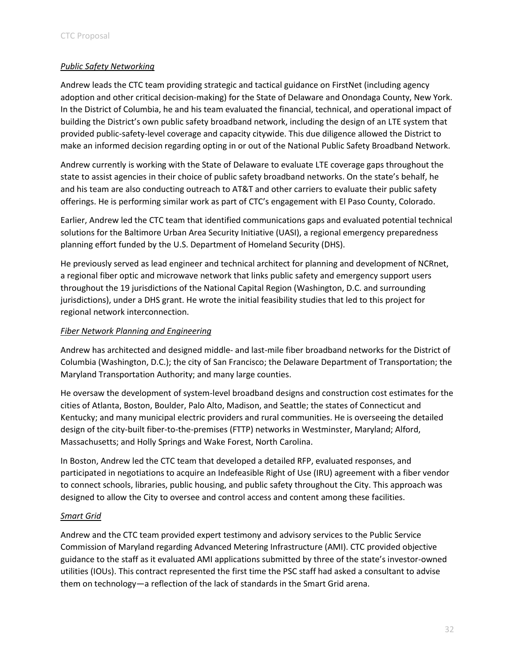#### *Public Safety Networking*

Andrew leads the CTC team providing strategic and tactical guidance on FirstNet (including agency adoption and other critical decision-making) for the State of Delaware and Onondaga County, New York. In the District of Columbia, he and his team evaluated the financial, technical, and operational impact of building the District's own public safety broadband network, including the design of an LTE system that provided public-safety-level coverage and capacity citywide. This due diligence allowed the District to make an informed decision regarding opting in or out of the National Public Safety Broadband Network.

Andrew currently is working with the State of Delaware to evaluate LTE coverage gaps throughout the state to assist agencies in their choice of public safety broadband networks. On the state's behalf, he and his team are also conducting outreach to AT&T and other carriers to evaluate their public safety offerings. He is performing similar work as part of CTC's engagement with El Paso County, Colorado.

Earlier, Andrew led the CTC team that identified communications gaps and evaluated potential technical solutions for the Baltimore Urban Area Security Initiative (UASI), a regional emergency preparedness planning effort funded by the U.S. Department of Homeland Security (DHS).

He previously served as lead engineer and technical architect for planning and development of NCRnet, a regional fiber optic and microwave network that links public safety and emergency support users throughout the 19 jurisdictions of the National Capital Region (Washington, D.C. and surrounding jurisdictions), under a DHS grant. He wrote the initial feasibility studies that led to this project for regional network interconnection.

#### *Fiber Network Planning and Engineering*

Andrew has architected and designed middle- and last-mile fiber broadband networks for the District of Columbia (Washington, D.C.); the city of San Francisco; the Delaware Department of Transportation; the Maryland Transportation Authority; and many large counties.

He oversaw the development of system-level broadband designs and construction cost estimates for the cities of Atlanta, Boston, Boulder, Palo Alto, Madison, and Seattle; the states of Connecticut and Kentucky; and many municipal electric providers and rural communities. He is overseeing the detailed design of the city-built fiber-to-the-premises (FTTP) networks in Westminster, Maryland; Alford, Massachusetts; and Holly Springs and Wake Forest, North Carolina.

In Boston, Andrew led the CTC team that developed a detailed RFP, evaluated responses, and participated in negotiations to acquire an Indefeasible Right of Use (IRU) agreement with a fiber vendor to connect schools, libraries, public housing, and public safety throughout the City. This approach was designed to allow the City to oversee and control access and content among these facilities.

#### *Smart Grid*

Andrew and the CTC team provided expert testimony and advisory services to the Public Service Commission of Maryland regarding Advanced Metering Infrastructure (AMI). CTC provided objective guidance to the staff as it evaluated AMI applications submitted by three of the state's investor-owned utilities (IOUs). This contract represented the first time the PSC staff had asked a consultant to advise them on technology—a reflection of the lack of standards in the Smart Grid arena.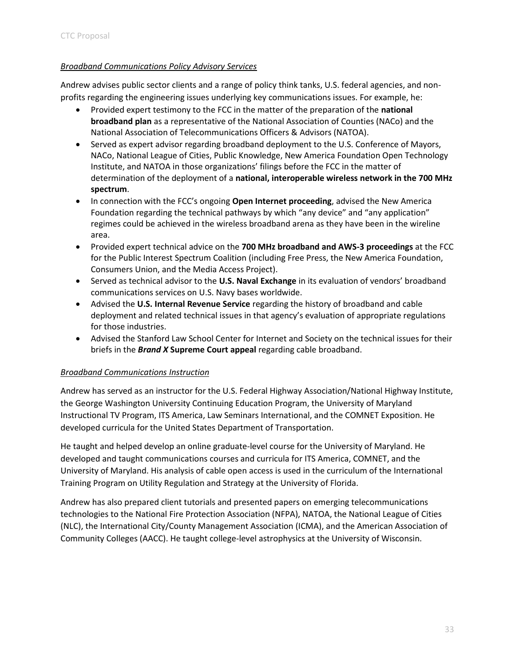#### *Broadband Communications Policy Advisory Services*

Andrew advises public sector clients and a range of policy think tanks, U.S. federal agencies, and nonprofits regarding the engineering issues underlying key communications issues. For example, he:

- Provided expert testimony to the FCC in the matter of the preparation of the **national broadband plan** as a representative of the National Association of Counties (NACo) and the National Association of Telecommunications Officers & Advisors (NATOA).
- Served as expert advisor regarding broadband deployment to the U.S. Conference of Mayors, NACo, National League of Cities, Public Knowledge, New America Foundation Open Technology Institute, and NATOA in those organizations' filings before the FCC in the matter of determination of the deployment of a **national, interoperable wireless network in the 700 MHz spectrum**.
- In connection with the FCC's ongoing **Open Internet proceeding**, advised the New America Foundation regarding the technical pathways by which "any device" and "any application" regimes could be achieved in the wireless broadband arena as they have been in the wireline area.
- Provided expert technical advice on the **700 MHz broadband and AWS-3 proceedings** at the FCC for the Public Interest Spectrum Coalition (including Free Press, the New America Foundation, Consumers Union, and the Media Access Project).
- Served as technical advisor to the **U.S. Naval Exchange** in its evaluation of vendors' broadband communications services on U.S. Navy bases worldwide.
- Advised the **U.S. Internal Revenue Service** regarding the history of broadband and cable deployment and related technical issues in that agency's evaluation of appropriate regulations for those industries.
- Advised the Stanford Law School Center for Internet and Society on the technical issues for their briefs in the *Brand X* **Supreme Court appeal** regarding cable broadband.

#### *Broadband Communications Instruction*

Andrew has served as an instructor for the U.S. Federal Highway Association/National Highway Institute, the George Washington University Continuing Education Program, the University of Maryland Instructional TV Program, ITS America, Law Seminars International, and the COMNET Exposition. He developed curricula for the United States Department of Transportation.

He taught and helped develop an online graduate-level course for the University of Maryland. He developed and taught communications courses and curricula for ITS America, COMNET, and the University of Maryland. His analysis of cable open access is used in the curriculum of the International Training Program on Utility Regulation and Strategy at the University of Florida.

Andrew has also prepared client tutorials and presented papers on emerging telecommunications technologies to the National Fire Protection Association (NFPA), NATOA, the National League of Cities (NLC), the International City/County Management Association (ICMA), and the American Association of Community Colleges (AACC). He taught college-level astrophysics at the University of Wisconsin.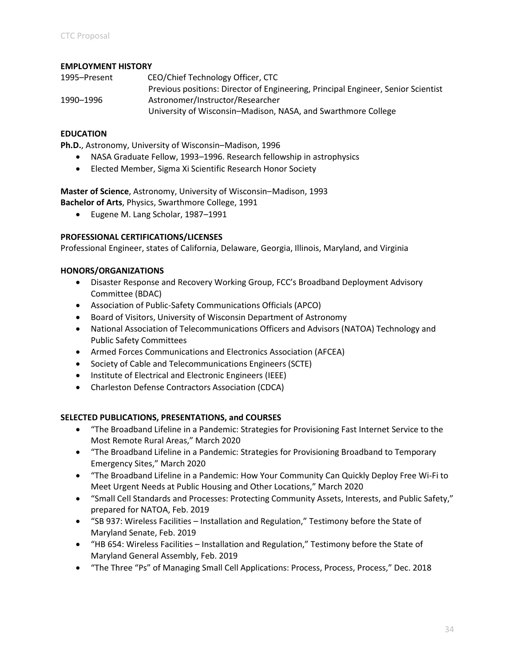#### **EMPLOYMENT HISTORY**

| 1995–Present | CEO/Chief Technology Officer, CTC                                                 |
|--------------|-----------------------------------------------------------------------------------|
|              | Previous positions: Director of Engineering, Principal Engineer, Senior Scientist |
| 1990–1996    | Astronomer/Instructor/Researcher                                                  |
|              | University of Wisconsin–Madison, NASA, and Swarthmore College                     |

#### **EDUCATION**

**Ph.D.**, Astronomy, University of Wisconsin–Madison, 1996

- NASA Graduate Fellow, 1993–1996. Research fellowship in astrophysics
- Elected Member, Sigma Xi Scientific Research Honor Society

**Master of Science**, Astronomy, University of Wisconsin–Madison, 1993 **Bachelor of Arts**, Physics, Swarthmore College, 1991

• Eugene M. Lang Scholar, 1987–1991

#### **PROFESSIONAL CERTIFICATIONS/LICENSES**

Professional Engineer, states of California, Delaware, Georgia, Illinois, Maryland, and Virginia

#### **HONORS/ORGANIZATIONS**

- Disaster Response and Recovery Working Group, FCC's Broadband Deployment Advisory Committee (BDAC)
- Association of Public-Safety Communications Officials (APCO)
- Board of Visitors, University of Wisconsin Department of Astronomy
- National Association of Telecommunications Officers and Advisors (NATOA) Technology and Public Safety Committees
- Armed Forces Communications and Electronics Association (AFCEA)
- Society of Cable and Telecommunications Engineers (SCTE)
- Institute of Electrical and Electronic Engineers (IEEE)
- Charleston Defense Contractors Association (CDCA)

#### **SELECTED PUBLICATIONS, PRESENTATIONS, and COURSES**

- "The Broadband Lifeline in a Pandemic: Strategies for Provisioning Fast Internet Service to the Most Remote Rural Areas," March 2020
- "The Broadband Lifeline in a Pandemic: Strategies for Provisioning Broadband to Temporary Emergency Sites," March 2020
- "The Broadband Lifeline in a Pandemic: How Your Community Can Quickly Deploy Free Wi-Fi to Meet Urgent Needs at Public Housing and Other Locations," March 2020
- "Small Cell Standards and Processes: Protecting Community Assets, Interests, and Public Safety," prepared for NATOA, Feb. 2019
- "SB 937: Wireless Facilities Installation and Regulation," Testimony before the State of Maryland Senate, Feb. 2019
- "HB 654: Wireless Facilities Installation and Regulation," Testimony before the State of Maryland General Assembly, Feb. 2019
- "The Three "Ps" of Managing Small Cell Applications: Process, Process, Process," Dec. 2018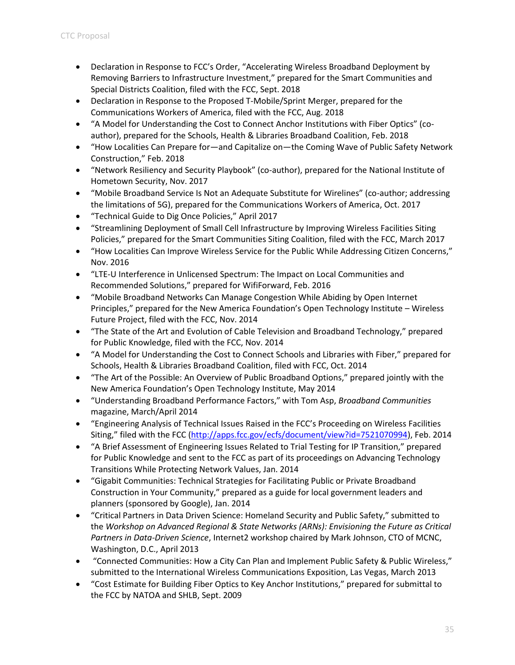- Declaration in Response to FCC's Order, "Accelerating Wireless Broadband Deployment by Removing Barriers to Infrastructure Investment," prepared for the Smart Communities and Special Districts Coalition, filed with the FCC, Sept. 2018
- Declaration in Response to the Proposed T-Mobile/Sprint Merger, prepared for the Communications Workers of America, filed with the FCC, Aug. 2018
- "A Model for Understanding the Cost to Connect Anchor Institutions with Fiber Optics" (coauthor), prepared for the Schools, Health & Libraries Broadband Coalition, Feb. 2018
- "How Localities Can Prepare for—and Capitalize on—the Coming Wave of Public Safety Network Construction," Feb. 2018
- "Network Resiliency and Security Playbook" (co-author), prepared for the National Institute of Hometown Security, Nov. 2017
- "Mobile Broadband Service Is Not an Adequate Substitute for Wirelines" (co-author; addressing the limitations of 5G), prepared for the Communications Workers of America, Oct. 2017
- "Technical Guide to Dig Once Policies," April 2017
- "Streamlining Deployment of Small Cell Infrastructure by Improving Wireless Facilities Siting Policies," prepared for the Smart Communities Siting Coalition, filed with the FCC, March 2017
- "How Localities Can Improve Wireless Service for the Public While Addressing Citizen Concerns," Nov. 2016
- "LTE‐U Interference in Unlicensed Spectrum: The Impact on Local Communities and Recommended Solutions," prepared for WifiForward, Feb. 2016
- "Mobile Broadband Networks Can Manage Congestion While Abiding by Open Internet Principles," prepared for the New America Foundation's Open Technology Institute – Wireless Future Project, filed with the FCC, Nov. 2014
- "The State of the Art and Evolution of Cable Television and Broadband Technology," prepared for Public Knowledge, filed with the FCC, Nov. 2014
- "A Model for Understanding the Cost to Connect Schools and Libraries with Fiber," prepared for Schools, Health & Libraries Broadband Coalition, filed with FCC, Oct. 2014
- "The Art of the Possible: An Overview of Public Broadband Options," prepared jointly with the New America Foundation's Open Technology Institute, May 2014
- "Understanding Broadband Performance Factors," with Tom Asp, *Broadband Communities* magazine, March/April 2014
- "Engineering Analysis of Technical Issues Raised in the FCC's Proceeding on Wireless Facilities Siting," filed with the FCC ([http://apps.fcc.gov/ecfs/document/view?id=7521070994\)](http://apps.fcc.gov/ecfs/document/view?id=7521070994), Feb. 2014
- "A Brief Assessment of Engineering Issues Related to Trial Testing for IP Transition," prepared for Public Knowledge and sent to the FCC as part of its proceedings on Advancing Technology Transitions While Protecting Network Values, Jan. 2014
- "Gigabit Communities: Technical Strategies for Facilitating Public or Private Broadband Construction in Your Community," prepared as a guide for local government leaders and planners (sponsored by Google), Jan. 2014
- "Critical Partners in Data Driven Science: Homeland Security and Public Safety," submitted to the *Workshop on Advanced Regional & State Networks (ARNs): Envisioning the Future as Critical Partners in Data-Driven Science*, Internet2 workshop chaired by Mark Johnson, CTO of MCNC, Washington, D.C., April 2013
- "Connected Communities: How a City Can Plan and Implement Public Safety & Public Wireless," submitted to the International Wireless Communications Exposition, Las Vegas, March 2013
- "Cost Estimate for Building Fiber Optics to Key Anchor Institutions," prepared for submittal to the FCC by NATOA and SHLB, Sept. 2009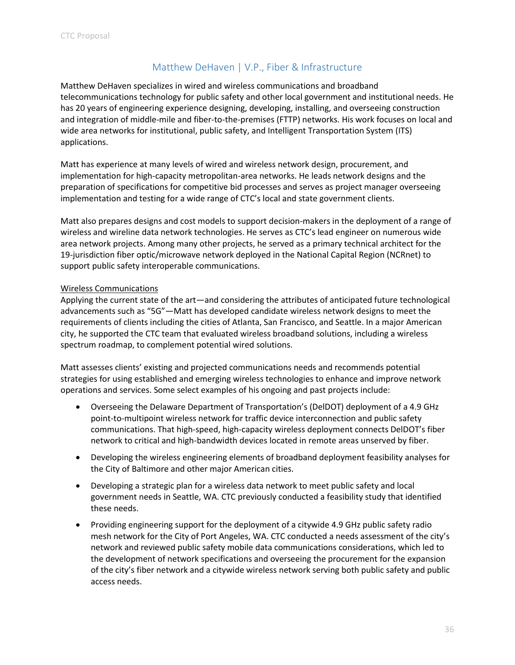## Matthew DeHaven | V.P., Fiber & Infrastructure

<span id="page-38-0"></span>Matthew DeHaven specializes in wired and wireless communications and broadband telecommunications technology for public safety and other local government and institutional needs. He has 20 years of engineering experience designing, developing, installing, and overseeing construction and integration of middle-mile and fiber-to-the-premises (FTTP) networks. His work focuses on local and wide area networks for institutional, public safety, and Intelligent Transportation System (ITS) applications.

Matt has experience at many levels of wired and wireless network design, procurement, and implementation for high-capacity metropolitan-area networks. He leads network designs and the preparation of specifications for competitive bid processes and serves as project manager overseeing implementation and testing for a wide range of CTC's local and state government clients.

Matt also prepares designs and cost models to support decision-makers in the deployment of a range of wireless and wireline data network technologies. He serves as CTC's lead engineer on numerous wide area network projects. Among many other projects, he served as a primary technical architect for the 19-jurisdiction fiber optic/microwave network deployed in the National Capital Region (NCRnet) to support public safety interoperable communications.

#### Wireless Communications

Applying the current state of the art—and considering the attributes of anticipated future technological advancements such as "5G"—Matt has developed candidate wireless network designs to meet the requirements of clients including the cities of Atlanta, San Francisco, and Seattle. In a major American city, he supported the CTC team that evaluated wireless broadband solutions, including a wireless spectrum roadmap, to complement potential wired solutions.

Matt assesses clients' existing and projected communications needs and recommends potential strategies for using established and emerging wireless technologies to enhance and improve network operations and services. Some select examples of his ongoing and past projects include:

- Overseeing the Delaware Department of Transportation's (DelDOT) deployment of a 4.9 GHz point-to-multipoint wireless network for traffic device interconnection and public safety communications. That high-speed, high-capacity wireless deployment connects DelDOT's fiber network to critical and high-bandwidth devices located in remote areas unserved by fiber.
- Developing the wireless engineering elements of broadband deployment feasibility analyses for the City of Baltimore and other major American cities.
- Developing a strategic plan for a wireless data network to meet public safety and local government needs in Seattle, WA. CTC previously conducted a feasibility study that identified these needs.
- Providing engineering support for the deployment of a citywide 4.9 GHz public safety radio mesh network for the City of Port Angeles, WA. CTC conducted a needs assessment of the city's network and reviewed public safety mobile data communications considerations, which led to the development of network specifications and overseeing the procurement for the expansion of the city's fiber network and a citywide wireless network serving both public safety and public access needs.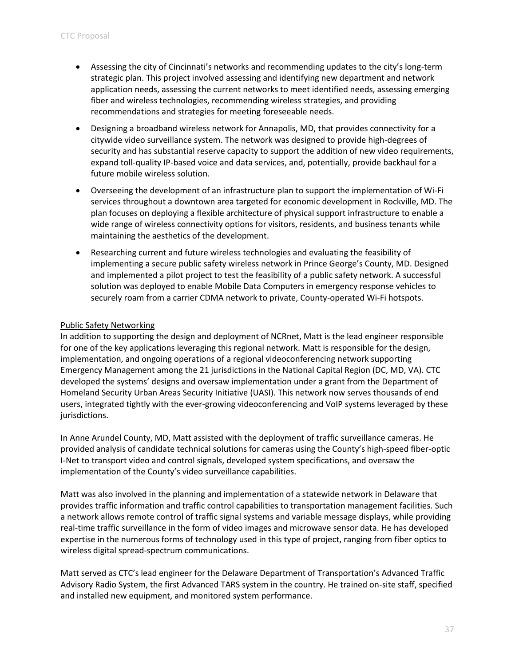- Assessing the city of Cincinnati's networks and recommending updates to the city's long-term strategic plan. This project involved assessing and identifying new department and network application needs, assessing the current networks to meet identified needs, assessing emerging fiber and wireless technologies, recommending wireless strategies, and providing recommendations and strategies for meeting foreseeable needs.
- Designing a broadband wireless network for Annapolis, MD, that provides connectivity for a citywide video surveillance system. The network was designed to provide high-degrees of security and has substantial reserve capacity to support the addition of new video requirements, expand toll-quality IP-based voice and data services, and, potentially, provide backhaul for a future mobile wireless solution.
- Overseeing the development of an infrastructure plan to support the implementation of Wi-Fi services throughout a downtown area targeted for economic development in Rockville, MD. The plan focuses on deploying a flexible architecture of physical support infrastructure to enable a wide range of wireless connectivity options for visitors, residents, and business tenants while maintaining the aesthetics of the development.
- Researching current and future wireless technologies and evaluating the feasibility of implementing a secure public safety wireless network in Prince George's County, MD. Designed and implemented a pilot project to test the feasibility of a public safety network. A successful solution was deployed to enable Mobile Data Computers in emergency response vehicles to securely roam from a carrier CDMA network to private, County-operated Wi-Fi hotspots.

#### Public Safety Networking

In addition to supporting the design and deployment of NCRnet, Matt is the lead engineer responsible for one of the key applications leveraging this regional network. Matt is responsible for the design, implementation, and ongoing operations of a regional videoconferencing network supporting Emergency Management among the 21 jurisdictions in the National Capital Region (DC, MD, VA). CTC developed the systems' designs and oversaw implementation under a grant from the Department of Homeland Security Urban Areas Security Initiative (UASI). This network now serves thousands of end users, integrated tightly with the ever-growing videoconferencing and VoIP systems leveraged by these jurisdictions.

In Anne Arundel County, MD, Matt assisted with the deployment of traffic surveillance cameras. He provided analysis of candidate technical solutions for cameras using the County's high-speed fiber-optic I-Net to transport video and control signals, developed system specifications, and oversaw the implementation of the County's video surveillance capabilities.

Matt was also involved in the planning and implementation of a statewide network in Delaware that provides traffic information and traffic control capabilities to transportation management facilities. Such a network allows remote control of traffic signal systems and variable message displays, while providing real-time traffic surveillance in the form of video images and microwave sensor data. He has developed expertise in the numerous forms of technology used in this type of project, ranging from fiber optics to wireless digital spread-spectrum communications.

Matt served as CTC's lead engineer for the Delaware Department of Transportation's Advanced Traffic Advisory Radio System, the first Advanced TARS system in the country. He trained on-site staff, specified and installed new equipment, and monitored system performance.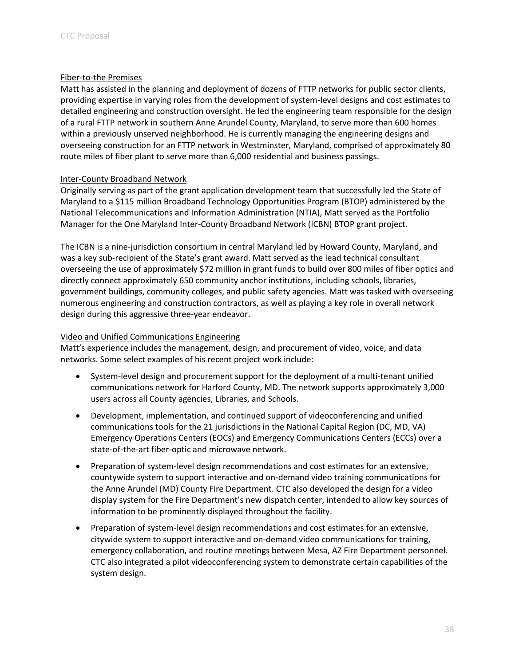#### Fiber-to-the Premises

Matt has assisted in the planning and deployment of dozens of FTTP networks for public sector clients, providing expertise in varying roles from the development of system-level designs and cost estimates to detailed engineering and construction oversight. He led the engineering team responsible for the design of a rural FTTP network in southern Anne Arundel County, Maryland, to serve more than 600 homes within a previously unserved neighborhood. He is currently managing the engineering designs and overseeing construction for an FTTP network in Westminster, Maryland, comprised of approximately 80 route miles of fiber plant to serve more than 6,000 residential and business passings.

#### Inter-County Broadband Network

Originally serving as part of the grant application development team that successfully led the State of Maryland to a \$115 million Broadband Technology Opportunities Program (BTOP) administered by the National Telecommunications and Information Administration (NTIA), Matt served as the Portfolio Manager for the One Maryland Inter-County Broadband Network (ICBN) BTOP grant project.

The ICBN is a nine-jurisdiction consortium in central Maryland led by Howard County, Maryland, and was a key sub-recipient of the State's grant award. Matt served as the lead technical consultant overseeing the use of approximately \$72 million in grant funds to build over 800 miles of fiber optics and directly connect approximately 650 community anchor institutions, including schools, libraries, government buildings, community colleges, and public safety agencies. Matt was tasked with overseeing numerous engineering and construction contractors, as well as playing a key role in overall network design during this aggressive three-year endeavor.

#### Video and Unified Communications Engineering

Matt's experience includes the management, design, and procurement of video, voice, and data networks. Some select examples of his recent project work include:

- System-level design and procurement support for the deployment of a multi-tenant unified communications network for Harford County, MD. The network supports approximately 3,000 users across all County agencies, Libraries, and Schools.
- Development, implementation, and continued support of videoconferencing and unified communications tools for the 21 jurisdictions in the National Capital Region (DC, MD, VA) Emergency Operations Centers (EOCs) and Emergency Communications Centers (ECCs) over a state-of-the-art fiber-optic and microwave network.
- Preparation of system-level design recommendations and cost estimates for an extensive, countywide system to support interactive and on-demand video training communications for the Anne Arundel (MD) County Fire Department. CTC also developed the design for a video display system for the Fire Department's new dispatch center, intended to allow key sources of information to be prominently displayed throughout the facility.
- Preparation of system-level design recommendations and cost estimates for an extensive, citywide system to support interactive and on-demand video communications for training, emergency collaboration, and routine meetings between Mesa, AZ Fire Department personnel. CTC also integrated a pilot videoconferencing system to demonstrate certain capabilities of the system design.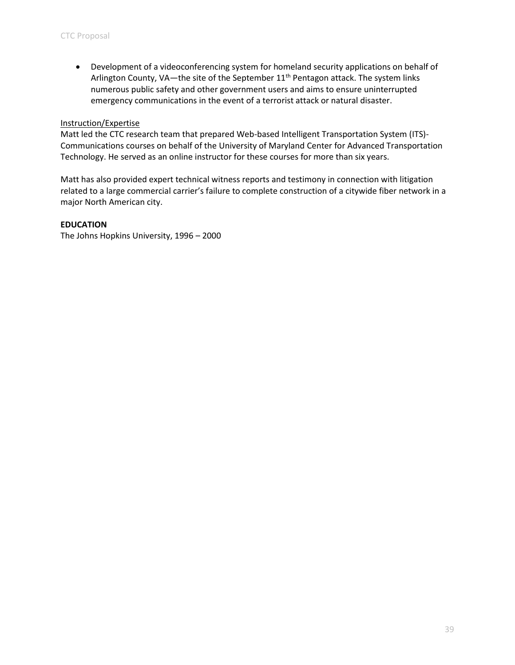• Development of a videoconferencing system for homeland security applications on behalf of Arlington County, VA-the site of the September 11<sup>th</sup> Pentagon attack. The system links numerous public safety and other government users and aims to ensure uninterrupted emergency communications in the event of a terrorist attack or natural disaster.

#### Instruction/Expertise

Matt led the CTC research team that prepared Web-based Intelligent Transportation System (ITS)- Communications courses on behalf of the University of Maryland Center for Advanced Transportation Technology. He served as an online instructor for these courses for more than six years.

Matt has also provided expert technical witness reports and testimony in connection with litigation related to a large commercial carrier's failure to complete construction of a citywide fiber network in a major North American city.

#### **EDUCATION**

The Johns Hopkins University, 1996 – 2000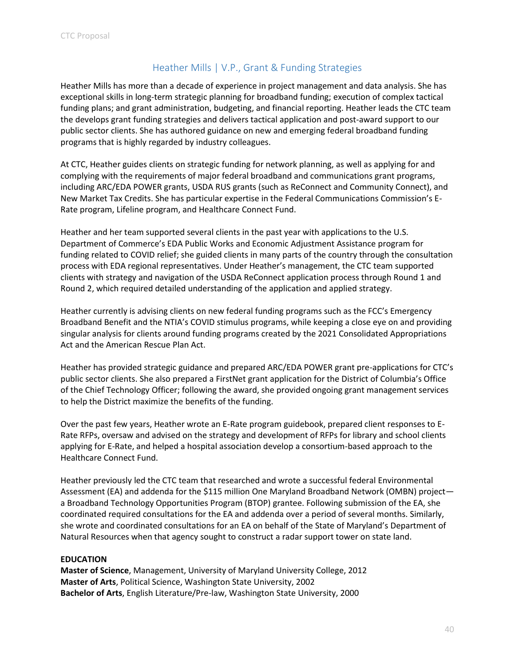## Heather Mills | V.P., Grant & Funding Strategies

<span id="page-42-0"></span>Heather Mills has more than a decade of experience in project management and data analysis. She has exceptional skills in long-term strategic planning for broadband funding; execution of complex tactical funding plans; and grant administration, budgeting, and financial reporting. Heather leads the CTC team the develops grant funding strategies and delivers tactical application and post-award support to our public sector clients. She has authored guidance on new and emerging federal broadband funding programs that is highly regarded by industry colleagues.

At CTC, Heather guides clients on strategic funding for network planning, as well as applying for and complying with the requirements of major federal broadband and communications grant programs, including ARC/EDA POWER grants, USDA RUS grants (such as ReConnect and Community Connect), and New Market Tax Credits. She has particular expertise in the Federal Communications Commission's E-Rate program, Lifeline program, and Healthcare Connect Fund.

Heather and her team supported several clients in the past year with applications to the U.S. Department of Commerce's EDA Public Works and Economic Adjustment Assistance program for funding related to COVID relief; she guided clients in many parts of the country through the consultation process with EDA regional representatives. Under Heather's management, the CTC team supported clients with strategy and navigation of the USDA ReConnect application process through Round 1 and Round 2, which required detailed understanding of the application and applied strategy.

Heather currently is advising clients on new federal funding programs such as the FCC's Emergency Broadband Benefit and the NTIA's COVID stimulus programs, while keeping a close eye on and providing singular analysis for clients around funding programs created by the 2021 Consolidated Appropriations Act and the American Rescue Plan Act.

Heather has provided strategic guidance and prepared ARC/EDA POWER grant pre-applications for CTC's public sector clients. She also prepared a FirstNet grant application for the District of Columbia's Office of the Chief Technology Officer; following the award, she provided ongoing grant management services to help the District maximize the benefits of the funding.

Over the past few years, Heather wrote an E-Rate program guidebook, prepared client responses to E-Rate RFPs, oversaw and advised on the strategy and development of RFPs for library and school clients applying for E-Rate, and helped a hospital association develop a consortium-based approach to the Healthcare Connect Fund.

Heather previously led the CTC team that researched and wrote a successful federal Environmental Assessment (EA) and addenda for the \$115 million One Maryland Broadband Network (OMBN) project a Broadband Technology Opportunities Program (BTOP) grantee. Following submission of the EA, she coordinated required consultations for the EA and addenda over a period of several months. Similarly, she wrote and coordinated consultations for an EA on behalf of the State of Maryland's Department of Natural Resources when that agency sought to construct a radar support tower on state land.

#### **EDUCATION**

**Master of Science**, Management, University of Maryland University College, 2012 **Master of Arts**, Political Science, Washington State University, 2002 **Bachelor of Arts**, English Literature/Pre-law, Washington State University, 2000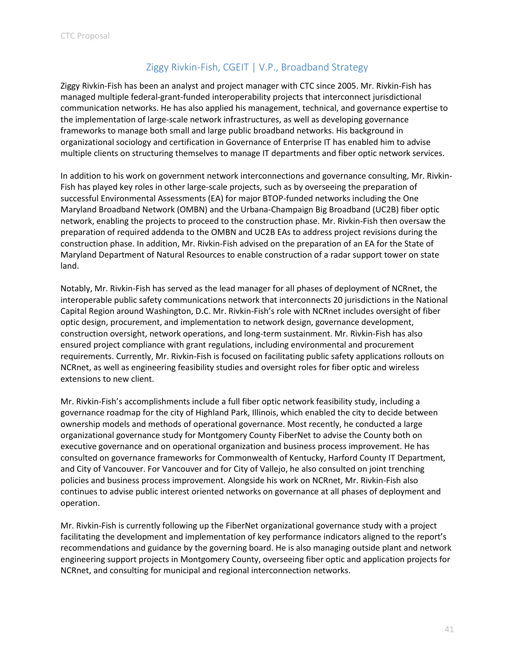## Ziggy Rivkin-Fish, CGEIT | V.P., Broadband Strategy

<span id="page-43-0"></span>Ziggy Rivkin-Fish has been an analyst and project manager with CTC since 2005. Mr. Rivkin-Fish has managed multiple federal-grant-funded interoperability projects that interconnect jurisdictional communication networks. He has also applied his management, technical, and governance expertise to the implementation of large-scale network infrastructures, as well as developing governance frameworks to manage both small and large public broadband networks. His background in organizational sociology and certification in Governance of Enterprise IT has enabled him to advise multiple clients on structuring themselves to manage IT departments and fiber optic network services.

In addition to his work on government network interconnections and governance consulting, Mr. Rivkin-Fish has played key roles in other large-scale projects, such as by overseeing the preparation of successful Environmental Assessments (EA) for major BTOP-funded networks including the One Maryland Broadband Network (OMBN) and the Urbana-Champaign Big Broadband (UC2B) fiber optic network, enabling the projects to proceed to the construction phase. Mr. Rivkin-Fish then oversaw the preparation of required addenda to the OMBN and UC2B EAs to address project revisions during the construction phase. In addition, Mr. Rivkin-Fish advised on the preparation of an EA for the State of Maryland Department of Natural Resources to enable construction of a radar support tower on state land.

Notably, Mr. Rivkin-Fish has served as the lead manager for all phases of deployment of NCRnet, the interoperable public safety communications network that interconnects 20 jurisdictions in the National Capital Region around Washington, D.C. Mr. Rivkin-Fish's role with NCRnet includes oversight of fiber optic design, procurement, and implementation to network design, governance development, construction oversight, network operations, and long-term sustainment. Mr. Rivkin-Fish has also ensured project compliance with grant regulations, including environmental and procurement requirements. Currently, Mr. Rivkin-Fish is focused on facilitating public safety applications rollouts on NCRnet, as well as engineering feasibility studies and oversight roles for fiber optic and wireless extensions to new client.

Mr. Rivkin-Fish's accomplishments include a full fiber optic network feasibility study, including a governance roadmap for the city of Highland Park, Illinois, which enabled the city to decide between ownership models and methods of operational governance. Most recently, he conducted a large organizational governance study for Montgomery County FiberNet to advise the County both on executive governance and on operational organization and business process improvement. He has consulted on governance frameworks for Commonwealth of Kentucky, Harford County IT Department, and City of Vancouver. For Vancouver and for City of Vallejo, he also consulted on joint trenching policies and business process improvement. Alongside his work on NCRnet, Mr. Rivkin-Fish also continues to advise public interest oriented networks on governance at all phases of deployment and operation.

Mr. Rivkin-Fish is currently following up the FiberNet organizational governance study with a project facilitating the development and implementation of key performance indicators aligned to the report's recommendations and guidance by the governing board. He is also managing outside plant and network engineering support projects in Montgomery County, overseeing fiber optic and application projects for NCRnet, and consulting for municipal and regional interconnection networks.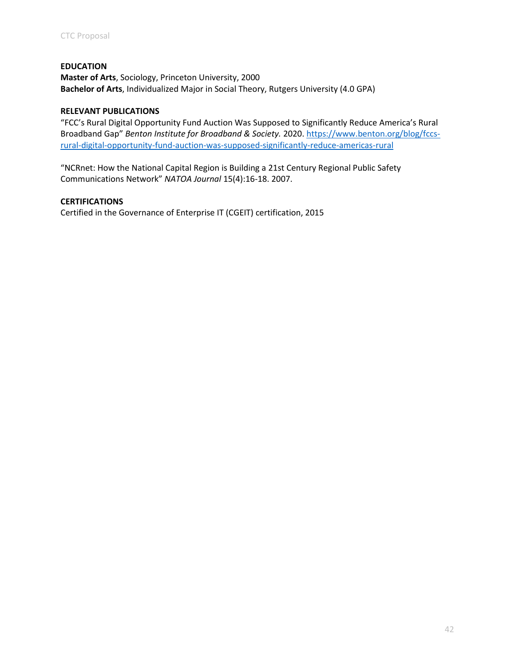#### **EDUCATION**

**Master of Arts**, Sociology, Princeton University, 2000 **Bachelor of Arts**, Individualized Major in Social Theory, Rutgers University (4.0 GPA)

#### **RELEVANT PUBLICATIONS**

"FCC's Rural Digital Opportunity Fund Auction Was Supposed to Significantly Reduce America's Rural Broadband Gap" *Benton Institute for Broadband & Society.* 2020. [https://www.benton.org/blog/fccs](https://www.benton.org/blog/fccs-rural-digital-opportunity-fund-auction-was-supposed-significantly-reduce-americas-rural)[rural-digital-opportunity-fund-auction-was-supposed-significantly-reduce-americas-rural](https://www.benton.org/blog/fccs-rural-digital-opportunity-fund-auction-was-supposed-significantly-reduce-americas-rural)

"NCRnet: How the National Capital Region is Building a 21st Century Regional Public Safety Communications Network" *NATOA Journal* 15(4):16-18. 2007.

#### **CERTIFICATIONS**

Certified in the Governance of Enterprise IT (CGEIT) certification, 2015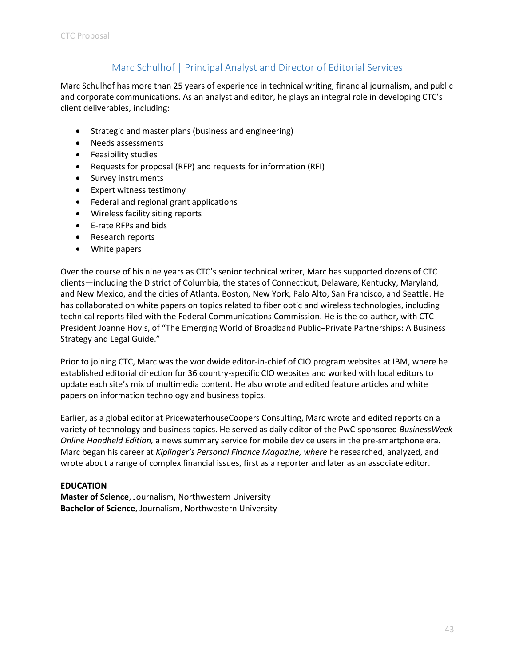## Marc Schulhof | Principal Analyst and Director of Editorial Services

<span id="page-45-0"></span>Marc Schulhof has more than 25 years of experience in technical writing, financial journalism, and public and corporate communications. As an analyst and editor, he plays an integral role in developing CTC's client deliverables, including:

- Strategic and master plans (business and engineering)
- Needs assessments
- Feasibility studies
- Requests for proposal (RFP) and requests for information (RFI)
- Survey instruments
- Expert witness testimony
- Federal and regional grant applications
- Wireless facility siting reports
- E-rate RFPs and bids
- Research reports
- White papers

Over the course of his nine years as CTC's senior technical writer, Marc has supported dozens of CTC clients—including the District of Columbia, the states of Connecticut, Delaware, Kentucky, Maryland, and New Mexico, and the cities of Atlanta, Boston, New York, Palo Alto, San Francisco, and Seattle. He has collaborated on white papers on topics related to fiber optic and wireless technologies, including technical reports filed with the Federal Communications Commission. He is the co-author, with CTC President Joanne Hovis, of "The Emerging World of Broadband Public–Private Partnerships: A Business Strategy and Legal Guide."

Prior to joining CTC, Marc was the worldwide editor-in-chief of CIO program websites at IBM, where he established editorial direction for 36 country-specific CIO websites and worked with local editors to update each site's mix of multimedia content. He also wrote and edited feature articles and white papers on information technology and business topics.

Earlier, as a global editor at PricewaterhouseCoopers Consulting, Marc wrote and edited reports on a variety of technology and business topics. He served as daily editor of the PwC-sponsored *BusinessWeek Online Handheld Edition,* a news summary service for mobile device users in the pre-smartphone era. Marc began his career at *Kiplinger's Personal Finance Magazine, where* he researched, analyzed, and wrote about a range of complex financial issues, first as a reporter and later as an associate editor.

#### **EDUCATION**

**Master of Science**, Journalism, Northwestern University **Bachelor of Science**, Journalism, Northwestern University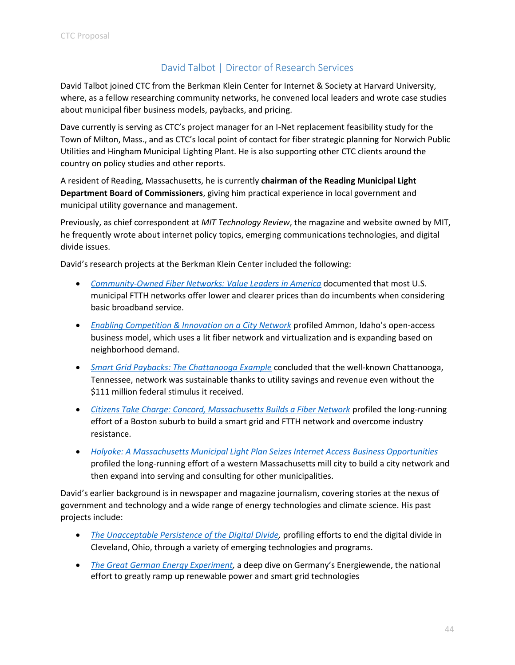## David Talbot | Director of Research Services

<span id="page-46-0"></span>David Talbot joined CTC from the Berkman Klein Center for Internet & Society at Harvard University, where, as a fellow researching community networks, he convened local leaders and wrote case studies about municipal fiber business models, paybacks, and pricing.

Dave currently is serving as CTC's project manager for an I-Net replacement feasibility study for the Town of Milton, Mass., and as CTC's local point of contact for fiber strategic planning for Norwich Public Utilities and Hingham Municipal Lighting Plant. He is also supporting other CTC clients around the country on policy studies and other reports.

A resident of Reading, Massachusetts, he is currently **chairman of the Reading Municipal Light Department Board of Commissioners**, giving him practical experience in local government and municipal utility governance and management.

Previously, as chief correspondent at *MIT Technology Review*, the magazine and website owned by MIT, he frequently wrote about internet policy topics, emerging communications technologies, and digital divide issues.

David's research projects at the Berkman Klein Center included the following:

- *[Community-Owned Fiber Networks: Value Leaders in America](https://cyber.harvard.edu/publications/2018/01/communityfiber)* documented that most U.S. municipal FTTH networks offer lower and clearer prices than do incumbents when considering basic broadband service.
- *[Enabling Competition & Innovation on a City Network](https://cyber.harvard.edu/publications/2017/09/fibercompetition)* profiled Ammon, Idaho's open-access [business model, which uses a lit fiber network and virtualization and is expanding based on](https://cyber.harvard.edu/publications/2017/09/fibercompetition)  [neighborhood demand.](https://cyber.harvard.edu/publications/2017/09/fibercompetition)
- *[Smart Grid Paybacks: The Chattanooga Example](https://cyber.harvard.edu/publications/2017/MF/Chattanooga)* concluded that the well-known Chattanooga, [Tennessee, network was sustainable thanks to utility savings and revenue even without the](https://cyber.harvard.edu/publications/2017/MF/Chattanooga)  [\\$111 million federal stimulus it received.](https://cyber.harvard.edu/publications/2017/MF/Chattanooga)
- *[Citizens Take Charge: Concord, Massachusetts Builds a Fiber Network](https://cyber.harvard.edu/publications/2017/MF/Concord)* profiled the long-running effort of a Boston suburb to build a smart grid and FTTH network and overcome industry resistance.
- *[Holyoke: A Massachusetts Municipal Light Plan Seizes Internet Access Business Opportunities](https://cyber.harvard.edu/publications/2015/municipal_fiber)* profiled the long-running effort of a western Massachusetts mill city to build a city network and then expand into serving and consulting for other municipalities.

David's earlier background is in newspaper and magazine journalism, covering stories at the nexus of government and technology and a wide range of energy technologies and climate science. His past projects include:

- *[The Unacceptable Persistence of the Digital Divide,](https://www.technologyreview.com/s/603083/the-unacceptable-persistence-of-the-digital-divide/)* profiling efforts to end the digital divide in Cleveland, Ohio, through a variety of emerging technologies and programs.
- *[The Great German Energy Experiment,](http://www.technologyreview.com/featuredstory/428145/the-great-german-energy-experiment/)* a deep dive on Germany's Energiewende, the national effort to greatly ramp up renewable power and smart grid technologies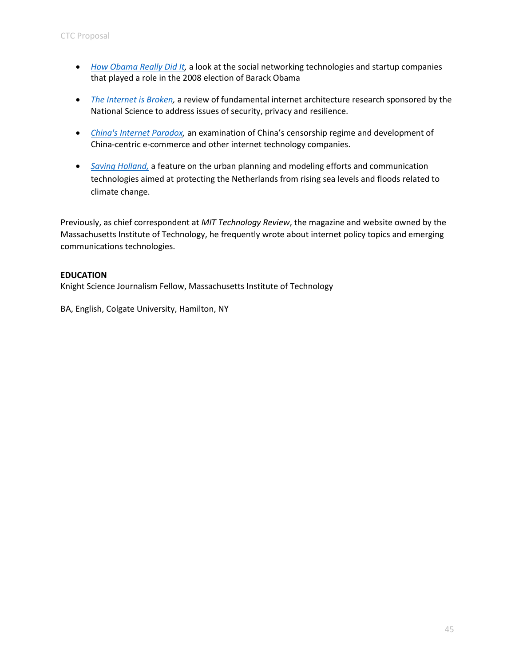- *[How Obama Really Did It,](http://www.technologyreview.com/featuredstory/410644/how-obama-really-did-it/)* a look at the social networking technologies and startup companies that played a role in the 2008 election of Barack Obama
- *[The Internet is Broken,](http://www.technologyreview.com/news/405318/the-internet-is-broken/)* a review of fundamental internet architecture research sponsored by the National Science to address issues of security, privacy and resilience.
- *[China's Internet Paradox,](http://www.technologyreview.com/featuredstory/418448/chinas-internet-paradox/)* an examination of China's censorship regime and development of China-centric e-commerce and other internet technology companies.
- *Saving Holland,* [a feature on the urban planning and modeling efforts and communication](https://www.technologyreview.com/s/408182/saving-holland/)  [technologies aimed at protecting the Netherlands from rising sea levels and floods](https://www.technologyreview.com/s/408182/saving-holland/) related to climate change.

Previously, as chief correspondent at *MIT Technology Review*, the magazine and website owned by the Massachusetts Institute of Technology, he frequently wrote about internet policy topics and emerging communications technologies.

#### **EDUCATION**

Knight Science Journalism Fellow, Massachusetts Institute of Technology

BA, English, Colgate University, Hamilton, NY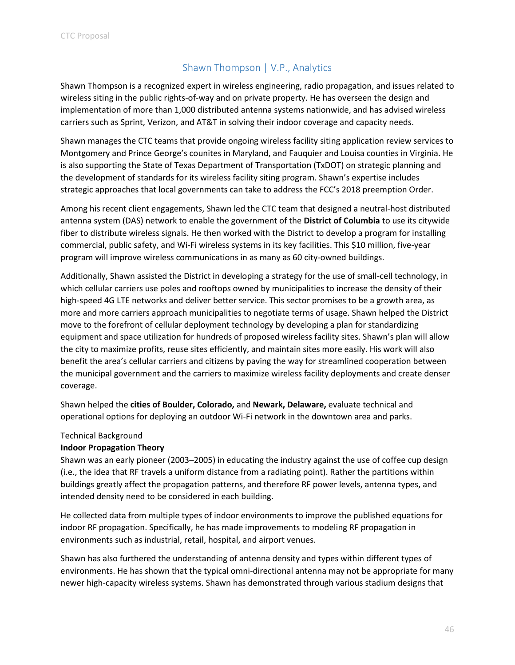## Shawn Thompson | V.P., Analytics

<span id="page-48-0"></span>Shawn Thompson is a recognized expert in wireless engineering, radio propagation, and issues related to wireless siting in the public rights-of-way and on private property. He has overseen the design and implementation of more than 1,000 distributed antenna systems nationwide, and has advised wireless carriers such as Sprint, Verizon, and AT&T in solving their indoor coverage and capacity needs.

Shawn manages the CTC teams that provide ongoing wireless facility siting application review services to Montgomery and Prince George's counites in Maryland, and Fauquier and Louisa counties in Virginia. He is also supporting the State of Texas Department of Transportation (TxDOT) on strategic planning and the development of standards for its wireless facility siting program. Shawn's expertise includes strategic approaches that local governments can take to address the FCC's 2018 preemption Order.

Among his recent client engagements, Shawn led the CTC team that designed a neutral-host distributed antenna system (DAS) network to enable the government of the **District of Columbia** to use its citywide fiber to distribute wireless signals. He then worked with the District to develop a program for installing commercial, public safety, and Wi-Fi wireless systems in its key facilities. This \$10 million, five-year program will improve wireless communications in as many as 60 city-owned buildings.

Additionally, Shawn assisted the District in developing a strategy for the use of small-cell technology, in which cellular carriers use poles and rooftops owned by municipalities to increase the density of their high-speed 4G LTE networks and deliver better service. This sector promises to be a growth area, as more and more carriers approach municipalities to negotiate terms of usage. Shawn helped the District move to the forefront of cellular deployment technology by developing a plan for standardizing equipment and space utilization for hundreds of proposed wireless facility sites. Shawn's plan will allow the city to maximize profits, reuse sites efficiently, and maintain sites more easily. His work will also benefit the area's cellular carriers and citizens by paving the way for streamlined cooperation between the municipal government and the carriers to maximize wireless facility deployments and create denser coverage.

Shawn helped the **cities of Boulder, Colorado,** and **Newark, Delaware,** evaluate technical and operational options for deploying an outdoor Wi-Fi network in the downtown area and parks.

#### Technical Background

#### **Indoor Propagation Theory**

Shawn was an early pioneer (2003–2005) in educating the industry against the use of coffee cup design (i.e., the idea that RF travels a uniform distance from a radiating point). Rather the partitions within buildings greatly affect the propagation patterns, and therefore RF power levels, antenna types, and intended density need to be considered in each building.

He collected data from multiple types of indoor environments to improve the published equations for indoor RF propagation. Specifically, he has made improvements to modeling RF propagation in environments such as industrial, retail, hospital, and airport venues.

Shawn has also furthered the understanding of antenna density and types within different types of environments. He has shown that the typical omni-directional antenna may not be appropriate for many newer high-capacity wireless systems. Shawn has demonstrated through various stadium designs that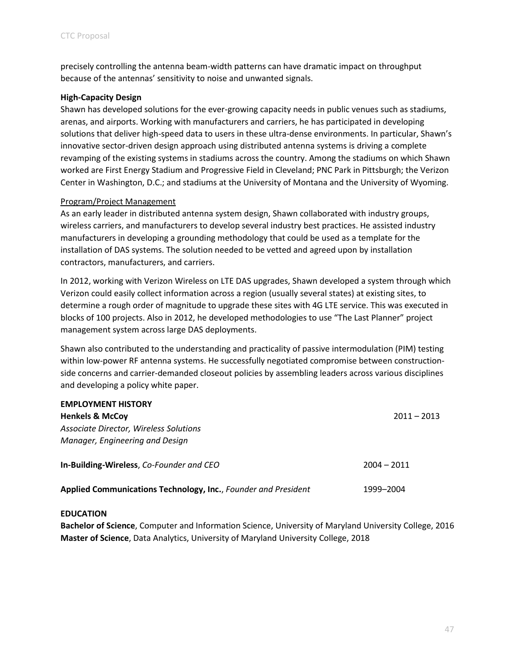precisely controlling the antenna beam-width patterns can have dramatic impact on throughput because of the antennas' sensitivity to noise and unwanted signals.

#### **High-Capacity Design**

Shawn has developed solutions for the ever-growing capacity needs in public venues such as stadiums, arenas, and airports. Working with manufacturers and carriers, he has participated in developing solutions that deliver high-speed data to users in these ultra-dense environments. In particular, Shawn's innovative sector-driven design approach using distributed antenna systems is driving a complete revamping of the existing systems in stadiums across the country. Among the stadiums on which Shawn worked are First Energy Stadium and Progressive Field in Cleveland; PNC Park in Pittsburgh; the Verizon Center in Washington, D.C.; and stadiums at the University of Montana and the University of Wyoming.

#### Program/Project Management

As an early leader in distributed antenna system design, Shawn collaborated with industry groups, wireless carriers, and manufacturers to develop several industry best practices. He assisted industry manufacturers in developing a grounding methodology that could be used as a template for the installation of DAS systems. The solution needed to be vetted and agreed upon by installation contractors, manufacturers, and carriers.

In 2012, working with Verizon Wireless on LTE DAS upgrades, Shawn developed a system through which Verizon could easily collect information across a region (usually several states) at existing sites, to determine a rough order of magnitude to upgrade these sites with 4G LTE service. This was executed in blocks of 100 projects. Also in 2012, he developed methodologies to use "The Last Planner" project management system across large DAS deployments.

Shawn also contributed to the understanding and practicality of passive intermodulation (PIM) testing within low-power RF antenna systems. He successfully negotiated compromise between constructionside concerns and carrier-demanded closeout policies by assembling leaders across various disciplines and developing a policy white paper.

| <b>EMPLOYMENT HISTORY</b>                                      |               |
|----------------------------------------------------------------|---------------|
| <b>Henkels &amp; McCoy</b>                                     | $2011 - 2013$ |
| Associate Director, Wireless Solutions                         |               |
| Manager, Engineering and Design                                |               |
| In-Building-Wireless, Co-Founder and CEO                       | $2004 - 2011$ |
| Applied Communications Technology, Inc., Founder and President | 1999–2004     |

#### **EDUCATION**

**Bachelor of Science**, Computer and Information Science, University of Maryland University College, 2016 **Master of Science**, Data Analytics, University of Maryland University College, 2018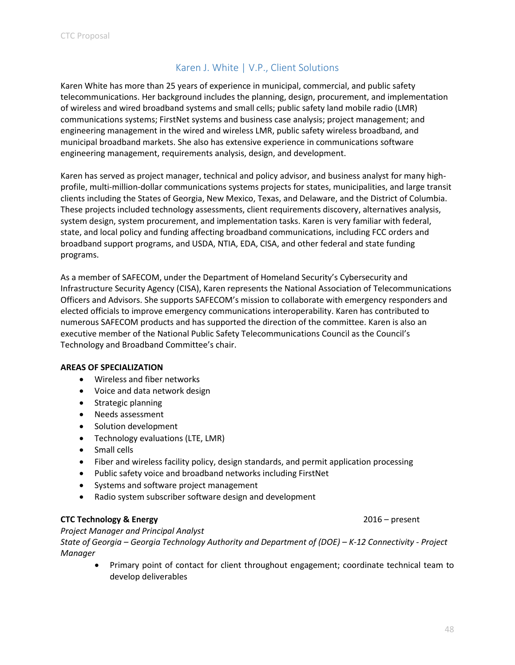## Karen J. White | V.P., Client Solutions

<span id="page-50-0"></span>Karen White has more than 25 years of experience in municipal, commercial, and public safety telecommunications. Her background includes the planning, design, procurement, and implementation of wireless and wired broadband systems and small cells; public safety land mobile radio (LMR) communications systems; FirstNet systems and business case analysis; project management; and engineering management in the wired and wireless LMR, public safety wireless broadband, and municipal broadband markets. She also has extensive experience in communications software engineering management, requirements analysis, design, and development.

Karen has served as project manager, technical and policy advisor, and business analyst for many highprofile, multi-million-dollar communications systems projects for states, municipalities, and large transit clients including the States of Georgia, New Mexico, Texas, and Delaware, and the District of Columbia. These projects included technology assessments, client requirements discovery, alternatives analysis, system design, system procurement, and implementation tasks. Karen is very familiar with federal, state, and local policy and funding affecting broadband communications, including FCC orders and broadband support programs, and USDA, NTIA, EDA, CISA, and other federal and state funding programs.

As a member of SAFECOM, under the Department of Homeland Security's Cybersecurity and Infrastructure Security Agency (CISA), Karen represents the National Association of Telecommunications Officers and Advisors. She supports SAFECOM's mission to collaborate with emergency responders and elected officials to improve emergency communications interoperability. Karen has contributed to numerous SAFECOM products and has supported the direction of the committee. Karen is also an executive member of the National Public Safety Telecommunications Council as the Council's Technology and Broadband Committee's chair.

#### **AREAS OF SPECIALIZATION**

- Wireless and fiber networks
- Voice and data network design
- Strategic planning
- Needs assessment
- Solution development
- Technology evaluations (LTE, LMR)
- Small cells
- Fiber and wireless facility policy, design standards, and permit application processing
- Public safety voice and broadband networks including FirstNet
- Systems and software project management
- Radio system subscriber software design and development

#### **CTC Technology & Energy** 2016 – present

*Project Manager and Principal Analyst*

*State of Georgia – Georgia Technology Authority and Department of (DOE) – K-12 Connectivity - Project Manager*

• Primary point of contact for client throughout engagement; coordinate technical team to develop deliverables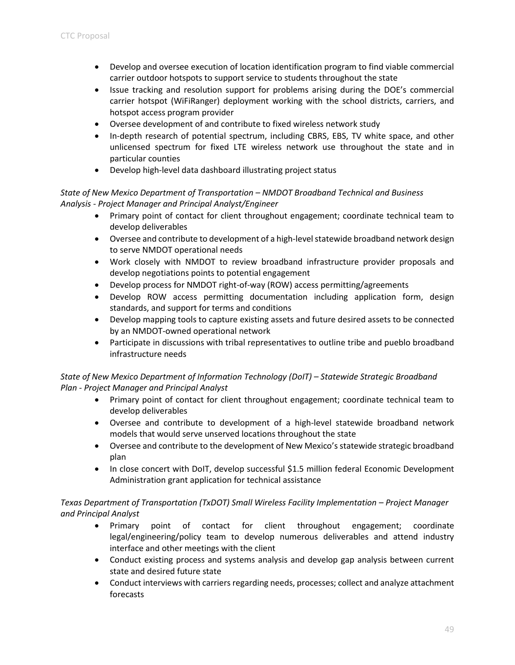- Develop and oversee execution of location identification program to find viable commercial carrier outdoor hotspots to support service to students throughout the state
- Issue tracking and resolution support for problems arising during the DOE's commercial carrier hotspot (WiFiRanger) deployment working with the school districts, carriers, and hotspot access program provider
- Oversee development of and contribute to fixed wireless network study
- In-depth research of potential spectrum, including CBRS, EBS, TV white space, and other unlicensed spectrum for fixed LTE wireless network use throughout the state and in particular counties
- Develop high-level data dashboard illustrating project status

#### *State of New Mexico Department of Transportation – NMDOT Broadband Technical and Business Analysis - Project Manager and Principal Analyst/Engineer*

- Primary point of contact for client throughout engagement; coordinate technical team to develop deliverables
- Oversee and contribute to development of a high-level statewide broadband network design to serve NMDOT operational needs
- Work closely with NMDOT to review broadband infrastructure provider proposals and develop negotiations points to potential engagement
- Develop process for NMDOT right-of-way (ROW) access permitting/agreements
- Develop ROW access permitting documentation including application form, design standards, and support for terms and conditions
- Develop mapping tools to capture existing assets and future desired assets to be connected by an NMDOT-owned operational network
- Participate in discussions with tribal representatives to outline tribe and pueblo broadband infrastructure needs

## *State of New Mexico Department of Information Technology (DoIT) – Statewide Strategic Broadband Plan - Project Manager and Principal Analyst*

- Primary point of contact for client throughout engagement; coordinate technical team to develop deliverables
- Oversee and contribute to development of a high-level statewide broadband network models that would serve unserved locations throughout the state
- Oversee and contribute to the development of New Mexico's statewide strategic broadband plan
- In close concert with DoIT, develop successful \$1.5 million federal Economic Development Administration grant application for technical assistance

## *Texas Department of Transportation (TxDOT) Small Wireless Facility Implementation – Project Manager and Principal Analyst*

- Primary point of contact for client throughout engagement; coordinate legal/engineering/policy team to develop numerous deliverables and attend industry interface and other meetings with the client
- Conduct existing process and systems analysis and develop gap analysis between current state and desired future state
- Conduct interviews with carriers regarding needs, processes; collect and analyze attachment forecasts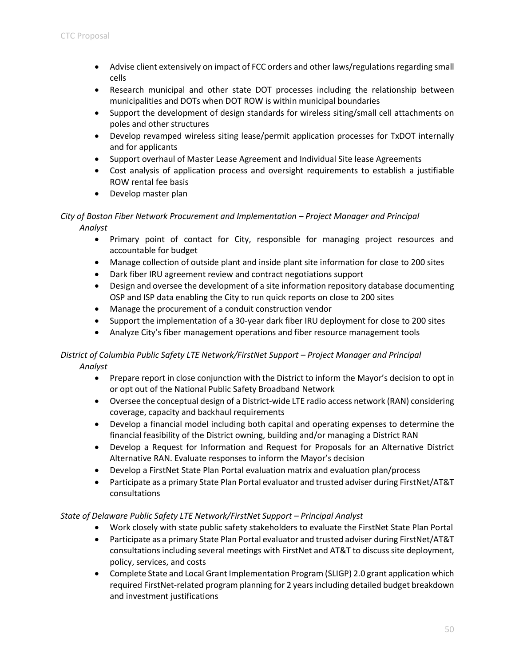- Advise client extensively on impact of FCC orders and other laws/regulations regarding small cells
- Research municipal and other state DOT processes including the relationship between municipalities and DOTs when DOT ROW is within municipal boundaries
- Support the development of design standards for wireless siting/small cell attachments on poles and other structures
- Develop revamped wireless siting lease/permit application processes for TxDOT internally and for applicants
- Support overhaul of Master Lease Agreement and Individual Site lease Agreements
- Cost analysis of application process and oversight requirements to establish a justifiable ROW rental fee basis
- Develop master plan

#### *City of Boston Fiber Network Procurement and Implementation – Project Manager and Principal Analyst*

- Primary point of contact for City, responsible for managing project resources and accountable for budget
- Manage collection of outside plant and inside plant site information for close to 200 sites
- Dark fiber IRU agreement review and contract negotiations support
- Design and oversee the development of a site information repository database documenting OSP and ISP data enabling the City to run quick reports on close to 200 sites
- Manage the procurement of a conduit construction vendor
- Support the implementation of a 30-year dark fiber IRU deployment for close to 200 sites
- Analyze City's fiber management operations and fiber resource management tools

#### *District of Columbia Public Safety LTE Network/FirstNet Support – Project Manager and Principal Analyst*

- Prepare report in close conjunction with the District to inform the Mayor's decision to opt in or opt out of the National Public Safety Broadband Network
- Oversee the conceptual design of a District-wide LTE radio access network (RAN) considering coverage, capacity and backhaul requirements
- Develop a financial model including both capital and operating expenses to determine the financial feasibility of the District owning, building and/or managing a District RAN
- Develop a Request for Information and Request for Proposals for an Alternative District Alternative RAN. Evaluate responses to inform the Mayor's decision
- Develop a FirstNet State Plan Portal evaluation matrix and evaluation plan/process
- Participate as a primary State Plan Portal evaluator and trusted adviser during FirstNet/AT&T consultations

#### *State of Delaware Public Safety LTE Network/FirstNet Support – Principal Analyst*

- Work closely with state public safety stakeholders to evaluate the FirstNet State Plan Portal
- Participate as a primary State Plan Portal evaluator and trusted adviser during FirstNet/AT&T consultations including several meetings with FirstNet and AT&T to discuss site deployment, policy, services, and costs
- Complete State and Local Grant Implementation Program (SLIGP) 2.0 grant application which required FirstNet-related program planning for 2 years including detailed budget breakdown and investment justifications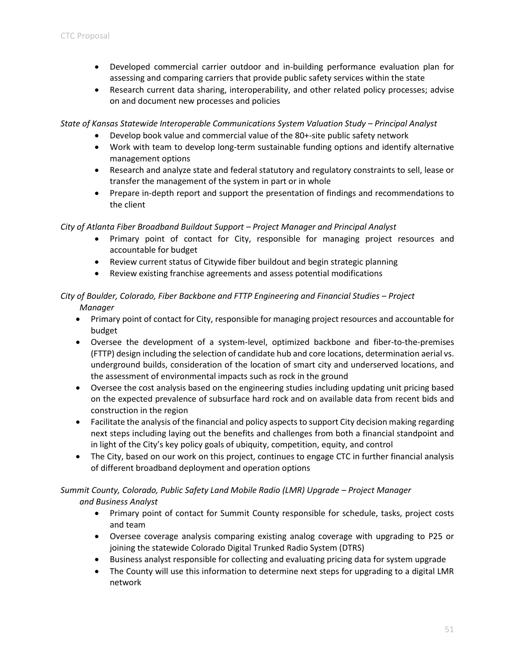- Developed commercial carrier outdoor and in-building performance evaluation plan for assessing and comparing carriers that provide public safety services within the state
- Research current data sharing, interoperability, and other related policy processes; advise on and document new processes and policies

*State of Kansas Statewide Interoperable Communications System Valuation Study – Principal Analyst* 

- Develop book value and commercial value of the 80+-site public safety network
- Work with team to develop long-term sustainable funding options and identify alternative management options
- Research and analyze state and federal statutory and regulatory constraints to sell, lease or transfer the management of the system in part or in whole
- Prepare in-depth report and support the presentation of findings and recommendations to the client

#### *City of Atlanta Fiber Broadband Buildout Support – Project Manager and Principal Analyst*

- Primary point of contact for City, responsible for managing project resources and accountable for budget
- Review current status of Citywide fiber buildout and begin strategic planning
- Review existing franchise agreements and assess potential modifications

#### *City of Boulder, Colorado, Fiber Backbone and FTTP Engineering and Financial Studies – Project Manager*

- Primary point of contact for City, responsible for managing project resources and accountable for budget
- Oversee the development of a system-level, optimized backbone and fiber-to-the-premises (FTTP) design including the selection of candidate hub and core locations, determination aerial vs. underground builds, consideration of the location of smart city and underserved locations, and the assessment of environmental impacts such as rock in the ground
- Oversee the cost analysis based on the engineering studies including updating unit pricing based on the expected prevalence of subsurface hard rock and on available data from recent bids and construction in the region
- Facilitate the analysis of the financial and policy aspects to support City decision making regarding next steps including laying out the benefits and challenges from both a financial standpoint and in light of the City's key policy goals of ubiquity, competition, equity, and control
- The City, based on our work on this project, continues to engage CTC in further financial analysis of different broadband deployment and operation options

## *Summit County, Colorado, Public Safety Land Mobile Radio (LMR) Upgrade – Project Manager and Business Analyst*

- Primary point of contact for Summit County responsible for schedule, tasks, project costs and team
- Oversee coverage analysis comparing existing analog coverage with upgrading to P25 or joining the statewide Colorado Digital Trunked Radio System (DTRS)
- Business analyst responsible for collecting and evaluating pricing data for system upgrade
- The County will use this information to determine next steps for upgrading to a digital LMR network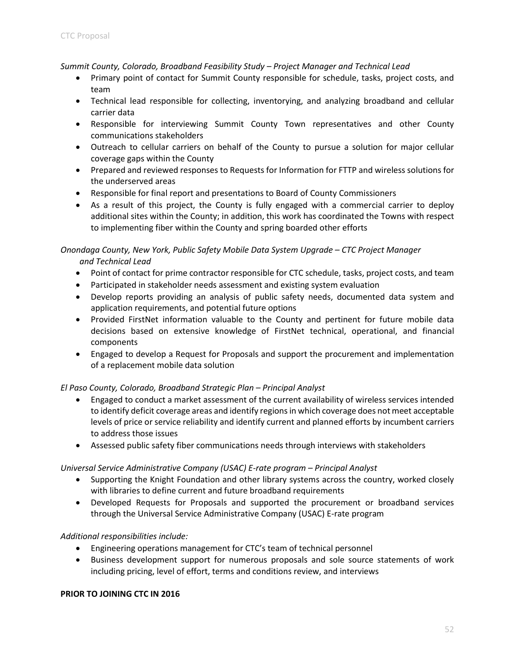*Summit County, Colorado, Broadband Feasibility Study – Project Manager and Technical Lead*

- Primary point of contact for Summit County responsible for schedule, tasks, project costs, and team
- Technical lead responsible for collecting, inventorying, and analyzing broadband and cellular carrier data
- Responsible for interviewing Summit County Town representatives and other County communications stakeholders
- Outreach to cellular carriers on behalf of the County to pursue a solution for major cellular coverage gaps within the County
- Prepared and reviewed responses to Requests for Information for FTTP and wireless solutions for the underserved areas
- Responsible for final report and presentations to Board of County Commissioners
- As a result of this project, the County is fully engaged with a commercial carrier to deploy additional sites within the County; in addition, this work has coordinated the Towns with respect to implementing fiber within the County and spring boarded other efforts

*Onondaga County, New York, Public Safety Mobile Data System Upgrade – CTC Project Manager and Technical Lead*

- Point of contact for prime contractor responsible for CTC schedule, tasks, project costs, and team
- Participated in stakeholder needs assessment and existing system evaluation
- Develop reports providing an analysis of public safety needs, documented data system and application requirements, and potential future options
- Provided FirstNet information valuable to the County and pertinent for future mobile data decisions based on extensive knowledge of FirstNet technical, operational, and financial components
- Engaged to develop a Request for Proposals and support the procurement and implementation of a replacement mobile data solution

#### *El Paso County, Colorado, Broadband Strategic Plan – Principal Analyst*

- Engaged to conduct a market assessment of the current availability of wireless services intended to identify deficit coverage areas and identify regions in which coverage does not meet acceptable levels of price or service reliability and identify current and planned efforts by incumbent carriers to address those issues
- Assessed public safety fiber communications needs through interviews with stakeholders

#### *Universal Service Administrative Company (USAC) E-rate program – Principal Analyst*

- Supporting the Knight Foundation and other library systems across the country, worked closely with libraries to define current and future broadband requirements
- Developed Requests for Proposals and supported the procurement or broadband services through the Universal Service Administrative Company (USAC) E-rate program

#### *Additional responsibilities include:*

- Engineering operations management for CTC's team of technical personnel
- Business development support for numerous proposals and sole source statements of work including pricing, level of effort, terms and conditions review, and interviews

#### **PRIOR TO JOINING CTC IN 2016**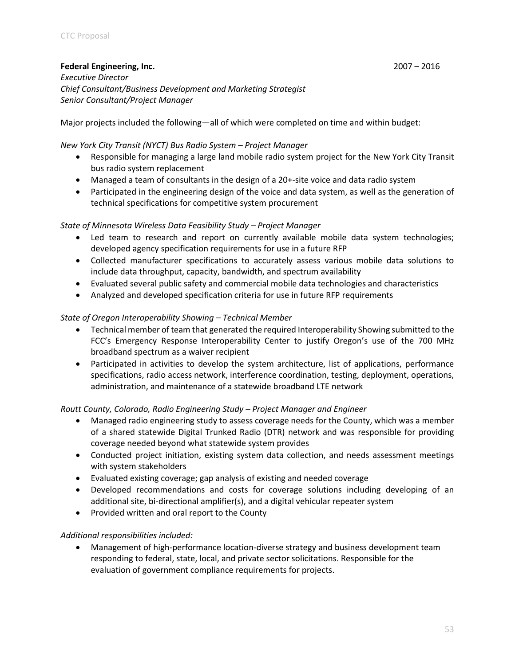#### **Federal Engineering, Inc.** 2007 – 2016

*Executive Director Chief Consultant/Business Development and Marketing Strategist Senior Consultant/Project Manager*

Major projects included the following—all of which were completed on time and within budget:

#### *New York City Transit (NYCT) Bus Radio System – Project Manager*

- Responsible for managing a large land mobile radio system project for the New York City Transit bus radio system replacement
- Managed a team of consultants in the design of a 20+-site voice and data radio system
- Participated in the engineering design of the voice and data system, as well as the generation of technical specifications for competitive system procurement

#### *State of Minnesota Wireless Data Feasibility Study – Project Manager*

- Led team to research and report on currently available mobile data system technologies; developed agency specification requirements for use in a future RFP
- Collected manufacturer specifications to accurately assess various mobile data solutions to include data throughput, capacity, bandwidth, and spectrum availability
- Evaluated several public safety and commercial mobile data technologies and characteristics
- Analyzed and developed specification criteria for use in future RFP requirements

#### *State of Oregon Interoperability Showing – Technical Member*

- Technical member of team that generated the required Interoperability Showing submitted to the FCC's Emergency Response Interoperability Center to justify Oregon's use of the 700 MHz broadband spectrum as a waiver recipient
- Participated in activities to develop the system architecture, list of applications, performance specifications, radio access network, interference coordination, testing, deployment, operations, administration, and maintenance of a statewide broadband LTE network

#### *Routt County, Colorado, Radio Engineering Study – Project Manager and Engineer*

- Managed radio engineering study to assess coverage needs for the County, which was a member of a shared statewide Digital Trunked Radio (DTR) network and was responsible for providing coverage needed beyond what statewide system provides
- Conducted project initiation, existing system data collection, and needs assessment meetings with system stakeholders
- Evaluated existing coverage; gap analysis of existing and needed coverage
- Developed recommendations and costs for coverage solutions including developing of an additional site, bi-directional amplifier(s), and a digital vehicular repeater system
- Provided written and oral report to the County

#### *Additional responsibilities included:*

• Management of high-performance location-diverse strategy and business development team responding to federal, state, local, and private sector solicitations. Responsible for the evaluation of government compliance requirements for projects.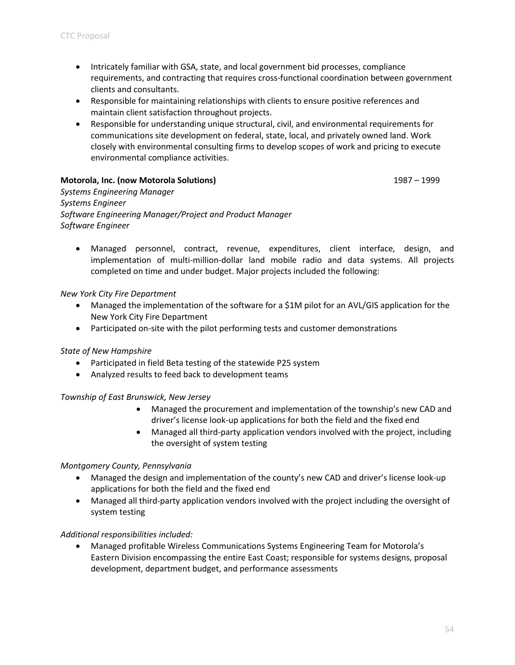- Intricately familiar with GSA, state, and local government bid processes, compliance requirements, and contracting that requires cross-functional coordination between government clients and consultants.
- Responsible for maintaining relationships with clients to ensure positive references and maintain client satisfaction throughout projects.
- Responsible for understanding unique structural, civil, and environmental requirements for communications site development on federal, state, local, and privately owned land. Work closely with environmental consulting firms to develop scopes of work and pricing to execute environmental compliance activities.

#### **Motorola, Inc. (now Motorola Solutions)** 1987 – 1999

*Systems Engineering Manager Systems Engineer Software Engineering Manager/Project and Product Manager Software Engineer*

• Managed personnel, contract, revenue, expenditures, client interface, design, and implementation of multi-million-dollar land mobile radio and data systems. All projects completed on time and under budget. Major projects included the following:

#### *New York City Fire Department*

- Managed the implementation of the software for a \$1M pilot for an AVL/GIS application for the New York City Fire Department
- Participated on-site with the pilot performing tests and customer demonstrations

#### *State of New Hampshire*

- Participated in field Beta testing of the statewide P25 system
- Analyzed results to feed back to development teams

#### *Township of East Brunswick, New Jersey*

- Managed the procurement and implementation of the township's new CAD and driver's license look-up applications for both the field and the fixed end
- Managed all third-party application vendors involved with the project, including the oversight of system testing

#### *Montgomery County, Pennsylvania*

- Managed the design and implementation of the county's new CAD and driver's license look-up applications for both the field and the fixed end
- Managed all third-party application vendors involved with the project including the oversight of system testing

#### *Additional responsibilities included:*

• Managed profitable Wireless Communications Systems Engineering Team for Motorola's Eastern Division encompassing the entire East Coast; responsible for systems designs, proposal development, department budget, and performance assessments